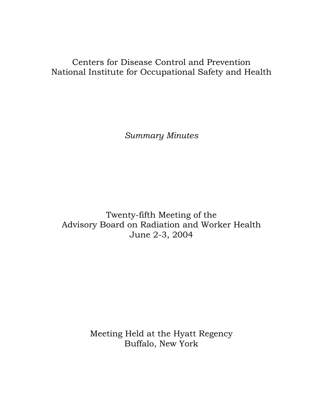# Centers for Disease Control and Prevention National Institute for Occupational Safety and Health

*Summary Minutes* 

Twenty-fifth Meeting of the Advisory Board on Radiation and Worker Health June 2-3, 2004

> Meeting Held at the Hyatt Regency Buffalo, New York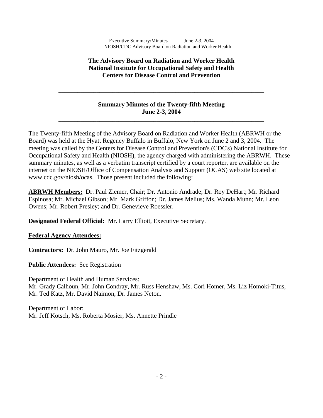### **The Advisory Board on Radiation and Worker Health National Institute for Occupational Safety and Health Centers for Disease Control and Prevention**

### **Summary Minutes of the Twenty-fifth Meeting June 2-3, 2004**

**\_\_\_\_\_\_\_\_\_\_\_\_\_\_\_\_\_\_\_\_\_\_\_\_\_\_\_\_\_\_\_\_\_\_\_\_\_\_\_\_\_\_\_\_\_\_\_\_\_\_\_\_\_\_\_\_\_\_\_\_\_\_\_\_\_**

**\_\_\_\_\_\_\_\_\_\_\_\_\_\_\_\_\_\_\_\_\_\_\_\_\_\_\_\_\_\_\_\_\_\_\_\_\_\_\_\_\_\_\_\_\_\_\_\_\_\_\_\_\_\_\_\_\_\_\_\_\_\_\_\_\_** 

The Twenty-fifth Meeting of the Advisory Board on Radiation and Worker Health (ABRWH or the Board) was held at the Hyatt Regency Buffalo in Buffalo, New York on June 2 and 3, 2004. The meeting was called by the Centers for Disease Control and Prevention's (CDC's) National Institute for Occupational Safety and Health (NIOSH), the agency charged with administering the ABRWH. These summary minutes, as well as a verbatim transcript certified by a court reporter, are available on the internet on the NIOSH/Office of Compensation Analysis and Support (OCAS) web site located at www.cdc.gov/niosh/ocas. Those present included the following:

**ABRWH Members:** Dr. Paul Ziemer, Chair; Dr. Antonio Andrade; Dr. Roy DeHart; Mr. Richard Espinosa; Mr. Michael Gibson; Mr. Mark Griffon; Dr. James Melius; Ms. Wanda Munn; Mr. Leon Owens; Mr. Robert Presley; and Dr. Genevieve Roessler.

**Designated Federal Official:** Mr. Larry Elliott, Executive Secretary.

### **Federal Agency Attendees:**

**Contractors:** Dr. John Mauro, Mr. Joe Fitzgerald

l

**Public Attendees:** See Registration

Department of Health and Human Services: Mr. Grady Calhoun, Mr. John Condray, Mr. Russ Henshaw, Ms. Cori Homer, Ms. Liz Homoki-Titus, Mr. Ted Katz, Mr. David Naimon, Dr. James Neton.

Department of Labor: Mr. Jeff Kotsch, Ms. Roberta Mosier, Ms. Annette Prindle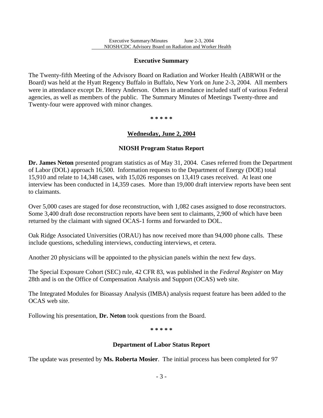### **Executive Summary**

l

The Twenty-fifth Meeting of the Advisory Board on Radiation and Worker Health (ABRWH or the Board) was held at the Hyatt Regency Buffalo in Buffalo, New York on June 2-3, 2004. All members were in attendance except Dr. Henry Anderson. Others in attendance included staff of various Federal agencies, as well as members of the public. The Summary Minutes of Meetings Twenty-three and Twenty-four were approved with minor changes.

**\* \* \* \* \***

### **Wednesday, June 2, 2004**

### **NIOSH Program Status Report**

**Dr. James Neton** presented program statistics as of May 31, 2004. Cases referred from the Department of Labor (DOL) approach 16,500. Information requests to the Department of Energy (DOE) total 15,910 and relate to 14,348 cases, with 15,026 responses on 13,419 cases received. At least one interview has been conducted in 14,359 cases. More than 19,000 draft interview reports have been sent to claimants.

Over 5,000 cases are staged for dose reconstruction, with 1,082 cases assigned to dose reconstructors. Some 3,400 draft dose reconstruction reports have been sent to claimants, 2,900 of which have been returned by the claimant with signed OCAS-1 forms and forwarded to DOL.

Oak Ridge Associated Universities (ORAU) has now received more than 94,000 phone calls. These include questions, scheduling interviews, conducting interviews, et cetera.

Another 20 physicians will be appointed to the physician panels within the next few days.

The Special Exposure Cohort (SEC) rule, 42 CFR 83, was published in the *Federal Register* on May 28th and is on the Office of Compensation Analysis and Support (OCAS) web site.

The Integrated Modules for Bioassay Analysis (IMBA) analysis request feature has been added to the OCAS web site.

Following his presentation, **Dr. Neton** took questions from the Board.

**\* \* \* \* \*** 

### **Department of Labor Status Report**

The update was presented by **Ms. Roberta Mosier**. The initial process has been completed for 97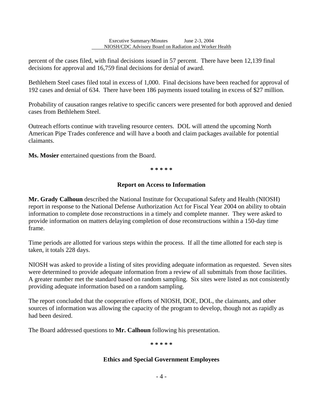percent of the cases filed, with final decisions issued in 57 percent. There have been 12,139 final decisions for approval and 16,759 final decisions for denial of award.

Bethlehem Steel cases filed total in excess of 1,000. Final decisions have been reached for approval of 192 cases and denial of 634. There have been 186 payments issued totaling in excess of \$27 million.

Probability of causation ranges relative to specific cancers were presented for both approved and denied cases from Bethlehem Steel.

Outreach efforts continue with traveling resource centers. DOL will attend the upcoming North American Pipe Trades conference and will have a booth and claim packages available for potential claimants.

**Ms. Mosier** entertained questions from the Board.

l

**\* \* \* \* \*** 

#### **Report on Access to Information**

**Mr. Grady Calhoun** described the National Institute for Occupational Safety and Health (NIOSH) report in response to the National Defense Authorization Act for Fiscal Year 2004 on ability to obtain information to complete dose reconstructions in a timely and complete manner. They were asked to provide information on matters delaying completion of dose reconstructions within a 150-day time frame.

Time periods are allotted for various steps within the process. If all the time allotted for each step is taken, it totals 228 days.

NIOSH was asked to provide a listing of sites providing adequate information as requested. Seven sites were determined to provide adequate information from a review of all submittals from those facilities. A greater number met the standard based on random sampling. Six sites were listed as not consistently providing adequate information based on a random sampling.

The report concluded that the cooperative efforts of NIOSH, DOE, DOL, the claimants, and other sources of information was allowing the capacity of the program to develop, though not as rapidly as had been desired.

The Board addressed questions to **Mr. Calhoun** following his presentation.

**\* \* \* \* \*** 

### **Ethics and Special Government Employees**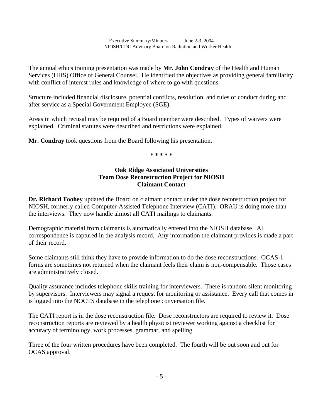The annual ethics training presentation was made by **Mr. John Condray** of the Health and Human Services (HHS) Office of General Counsel. He identified the objectives as providing general familiarity with conflict of interest rules and knowledge of where to go with questions.

Structure included financial disclosure, potential conflicts, resolution, and rules of conduct during and after service as a Special Government Employee (SGE).

Areas in which recusal may be required of a Board member were described. Types of waivers were explained. Criminal statutes were described and restrictions were explained.

**Mr. Condray** took questions from the Board following his presentation.

l

**\* \* \* \* \***

### **Oak Ridge Associated Universities Team Dose Reconstruction Project for NIOSH Claimant Contact**

**Dr. Richard Toohey** updated the Board on claimant contact under the dose reconstruction project for NIOSH, formerly called Computer-Assisted Telephone Interview (CATI). ORAU is doing more than the interviews. They now handle almost all CATI mailings to claimants.

Demographic material from claimants is automatically entered into the NIOSH database. All correspondence is captured in the analysis record. Any information the claimant provides is made a part of their record.

Some claimants still think they have to provide information to do the dose reconstructions. OCAS-1 forms are sometimes not returned when the claimant feels their claim is non-compensable. Those cases are administratively closed.

Quality assurance includes telephone skills training for interviewers. There is random silent monitoring by supervisors. Interviewers may signal a request for monitoring or assistance. Every call that comes in is logged into the NOCTS database in the telephone conversation file.

The CATI report is in the dose reconstruction file. Dose reconstructors are required to review it. Dose reconstruction reports are reviewed by a health physicist reviewer working against a checklist for accuracy of terminology, work processes, grammar, and spelling.

Three of the four written procedures have been completed. The fourth will be out soon and out for OCAS approval.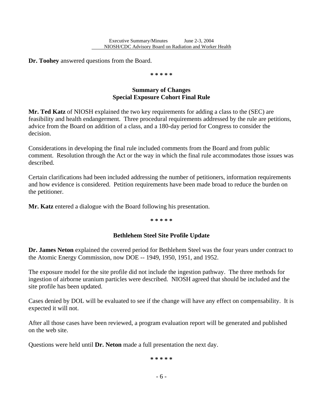**Dr. Toohey** answered questions from the Board.

l

**\* \* \* \* \*** 

### **Summary of Changes Special Exposure Cohort Final Rule**

**Mr. Ted Katz** of NIOSH explained the two key requirements for adding a class to the (SEC) are feasibility and health endangerment. Three procedural requirements addressed by the rule are petitions, advice from the Board on addition of a class, and a 180-day period for Congress to consider the decision.

Considerations in developing the final rule included comments from the Board and from public comment. Resolution through the Act or the way in which the final rule accommodates those issues was described.

Certain clarifications had been included addressing the number of petitioners, information requirements and how evidence is considered. Petition requirements have been made broad to reduce the burden on the petitioner.

**Mr. Katz** entered a dialogue with the Board following his presentation.

**\* \* \* \* \*** 

### **Bethlehem Steel Site Profile Update**

**Dr. James Neton** explained the covered period for Bethlehem Steel was the four years under contract to the Atomic Energy Commission, now DOE -- 1949, 1950, 1951, and 1952.

The exposure model for the site profile did not include the ingestion pathway. The three methods for ingestion of airborne uranium particles were described. NIOSH agreed that should be included and the site profile has been updated.

Cases denied by DOL will be evaluated to see if the change will have any effect on compensability. It is expected it will not.

After all those cases have been reviewed, a program evaluation report will be generated and published on the web site.

Questions were held until **Dr. Neton** made a full presentation the next day.

**\* \* \* \* \*** 

- 6 -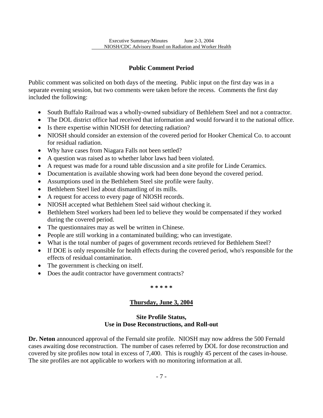## **Public Comment Period**

Public comment was solicited on both days of the meeting. Public input on the first day was in a separate evening session, but two comments were taken before the recess. Comments the first day included the following:

- South Buffalo Railroad was a wholly-owned subsidiary of Bethlehem Steel and not a contractor.
- The DOL district office had received that information and would forward it to the national office.
- Is there expertise within NIOSH for detecting radiation?

l

- NIOSH should consider an extension of the covered period for Hooker Chemical Co. to account for residual radiation.
- Why have cases from Niagara Falls not been settled?
- A question was raised as to whether labor laws had been violated.
- A request was made for a round table discussion and a site profile for Linde Ceramics.
- Documentation is available showing work had been done beyond the covered period.
- Assumptions used in the Bethlehem Steel site profile were faulty.
- Bethlehem Steel lied about dismantling of its mills.
- A request for access to every page of NIOSH records.
- NIOSH accepted what Bethlehem Steel said without checking it.
- Bethlehem Steel workers had been led to believe they would be compensated if they worked during the covered period.
- The questionnaires may as well be written in Chinese.
- People are still working in a contaminated building; who can investigate.
- What is the total number of pages of government records retrieved for Bethlehem Steel?
- If DOE is only responsible for health effects during the covered period, who's responsible for the effects of residual contamination.
- The government is checking on itself.
- Does the audit contractor have government contracts?

**\* \* \* \* \*** 

## **Thursday, June 3, 2004**

### **Site Profile Status, Use in Dose Reconstructions, and Roll-out**

**Dr. Neton** announced approval of the Fernald site profile. NIOSH may now address the 500 Fernald cases awaiting dose reconstruction. The number of cases referred by DOL for dose reconstruction and covered by site profiles now total in excess of 7,400. This is roughly 45 percent of the cases in-house. The site profiles are not applicable to workers with no monitoring information at all.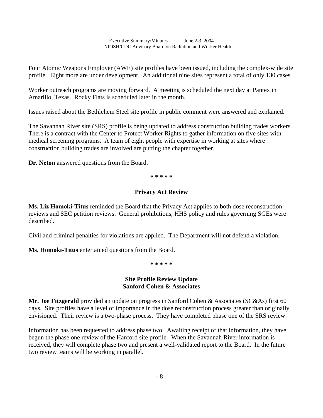Four Atomic Weapons Employer (AWE) site profiles have been issued, including the complex-wide site profile. Eight more are under development. An additional nine sites represent a total of only 130 cases.

Worker outreach programs are moving forward. A meeting is scheduled the next day at Pantex in Amarillo, Texas. Rocky Flats is scheduled later in the month.

Issues raised about the Bethlehem Steel site profile in public comment were answered and explained.

The Savannah River site (SRS) profile is being updated to address construction building trades workers. There is a contract with the Center to Protect Worker Rights to gather information on five sites with medical screening programs. A team of eight people with expertise in working at sites where construction building trades are involved are putting the chapter together.

**Dr. Neton** answered questions from the Board.

l

**\* \* \* \* \*** 

### **Privacy Act Review**

**Ms. Liz Homoki-Titus** reminded the Board that the Privacy Act applies to both dose reconstruction reviews and SEC petition reviews. General prohibitions, HHS policy and rules governing SGEs were described.

Civil and criminal penalties for violations are applied. The Department will not defend a violation.

**Ms. Homoki-Titus** entertained questions from the Board.

**\* \* \* \* \***

### **Site Profile Review Update Sanford Cohen & Associates**

**Mr. Joe Fitzgerald** provided an update on progress in Sanford Cohen & Associates (SC&As) first 60 days. Site profiles have a level of importance in the dose reconstruction process greater than originally envisioned. Their review is a two-phase process. They have completed phase one of the SRS review.

Information has been requested to address phase two. Awaiting receipt of that information, they have begun the phase one review of the Hanford site profile. When the Savannah River information is received, they will complete phase two and present a well-validated report to the Board. In the future two review teams will be working in parallel.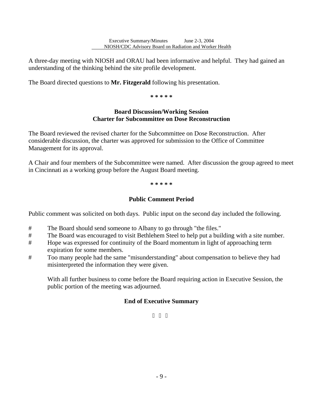A three-day meeting with NIOSH and ORAU had been informative and helpful. They had gained an understanding of the thinking behind the site profile development.

The Board directed questions to **Mr. Fitzgerald** following his presentation.

l

**\* \* \* \* \***

### **Board Discussion/Working Session Charter for Subcommittee on Dose Reconstruction**

The Board reviewed the revised charter for the Subcommittee on Dose Reconstruction. After considerable discussion, the charter was approved for submission to the Office of Committee Management for its approval.

A Chair and four members of the Subcommittee were named. After discussion the group agreed to meet in Cincinnati as a working group before the August Board meeting.

**\* \* \* \* \***

## **Public Comment Period**

Public comment was solicited on both days. Public input on the second day included the following.

- # The Board should send someone to Albany to go through "the files."
- # The Board was encouraged to visit Bethlehem Steel to help put a building with a site number.
- # Hope was expressed for continuity of the Board momentum in light of approaching term expiration for some members.
- # Too many people had the same "misunderstanding" about compensation to believe they had misinterpreted the information they were given.

With all further business to come before the Board requiring action in Executive Session, the public portion of the meeting was adjourned.

## **End of Executive Summary**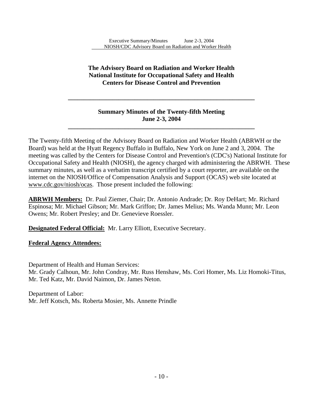### **The Advisory Board on Radiation and Worker Health National Institute for Occupational Safety and Health Centers for Disease Control and Prevention**

### **Summary Minutes of the Twenty-fifth Meeting June 2-3, 2004**

**\_\_\_\_\_\_\_\_\_\_\_\_\_\_\_\_\_\_\_\_\_\_\_\_\_\_\_\_\_\_\_\_\_\_\_\_\_\_\_\_\_\_\_\_\_\_\_\_\_\_\_\_\_\_\_\_\_\_\_**

**\_\_\_\_\_\_\_\_\_\_\_\_\_\_\_\_\_\_\_\_\_\_\_\_\_\_\_\_\_\_\_\_\_\_\_\_\_\_\_\_\_\_\_\_\_\_\_\_\_\_\_\_\_\_\_\_\_\_\_** 

The Twenty-fifth Meeting of the Advisory Board on Radiation and Worker Health (ABRWH or the Board) was held at the Hyatt Regency Buffalo in Buffalo, New York on June 2 and 3, 2004. The meeting was called by the Centers for Disease Control and Prevention's (CDC's) National Institute for Occupational Safety and Health (NIOSH), the agency charged with administering the ABRWH. These summary minutes, as well as a verbatim transcript certified by a court reporter, are available on the internet on the NIOSH/Office of Compensation Analysis and Support (OCAS) web site located at www.cdc.gov/niosh/ocas. Those present included the following:

**ABRWH Members:** Dr. Paul Ziemer, Chair; Dr. Antonio Andrade; Dr. Roy DeHart; Mr. Richard Espinosa; Mr. Michael Gibson; Mr. Mark Griffon; Dr. James Melius; Ms. Wanda Munn; Mr. Leon Owens; Mr. Robert Presley; and Dr. Genevieve Roessler.

**Designated Federal Official:** Mr. Larry Elliott, Executive Secretary.

### **Federal Agency Attendees:**

Department of Health and Human Services:

l

Mr. Grady Calhoun, Mr. John Condray, Mr. Russ Henshaw, Ms. Cori Homer, Ms. Liz Homoki-Titus, Mr. Ted Katz, Mr. David Naimon, Dr. James Neton.

Department of Labor: Mr. Jeff Kotsch, Ms. Roberta Mosier, Ms. Annette Prindle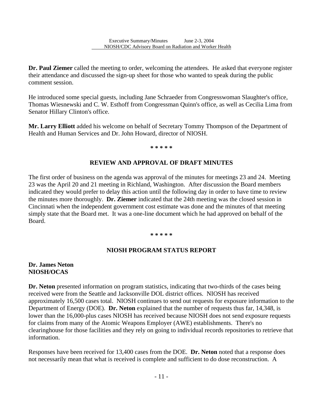l

**Dr. Paul Ziemer** called the meeting to order, welcoming the attendees. He asked that everyone register their attendance and discussed the sign-up sheet for those who wanted to speak during the public comment session.

He introduced some special guests, including Jane Schraeder from Congresswoman Slaughter's office, Thomas Wiesnewski and C. W. Esthoff from Congressman Quinn's office, as well as Cecilia Lima from Senator Hillary Clinton's office.

**Mr. Larry Elliott** added his welcome on behalf of Secretary Tommy Thompson of the Department of Health and Human Services and Dr. John Howard, director of NIOSH.

**\* \* \* \* \*** 

### **REVIEW AND APPROVAL OF DRAFT MINUTES**

The first order of business on the agenda was approval of the minutes for meetings 23 and 24. Meeting 23 was the April 20 and 21 meeting in Richland, Washington. After discussion the Board members indicated they would prefer to delay this action until the following day in order to have time to review the minutes more thoroughly. **Dr. Ziemer** indicated that the 24th meeting was the closed session in Cincinnati when the independent government cost estimate was done and the minutes of that meeting simply state that the Board met. It was a one-line document which he had approved on behalf of the Board.

#### **\* \* \* \* \***

### **NIOSH PROGRAM STATUS REPORT**

### **Dr. James Neton NIOSH/OCAS**

**Dr. Neton** presented information on program statistics, indicating that two-thirds of the cases being received were from the Seattle and Jacksonville DOL district offices. NIOSH has received approximately 16,500 cases total. NIOSH continues to send out requests for exposure information to the Department of Energy (DOE). **Dr. Neton** explained that the number of requests thus far, 14,348, is lower than the 16,000-plus cases NIOSH has received because NIOSH does not send exposure requests for claims from many of the Atomic Weapons Employer (AWE) establishments. There's no clearinghouse for those facilities and they rely on going to individual records repositories to retrieve that information.

Responses have been received for 13,400 cases from the DOE. **Dr. Neton** noted that a response does not necessarily mean that what is received is complete and sufficient to do dose reconstruction. A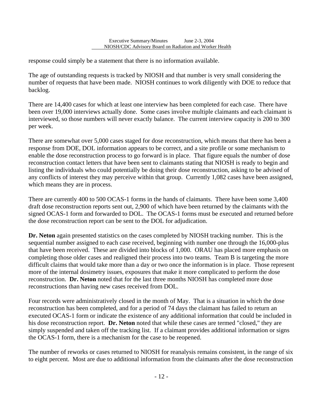response could simply be a statement that there is no information available.

l

The age of outstanding requests is tracked by NIOSH and that number is very small considering the number of requests that have been made. NIOSH continues to work diligently with DOE to reduce that backlog.

There are 14,400 cases for which at least one interview has been completed for each case. There have been over 19,000 interviews actually done. Some cases involve multiple claimants and each claimant is interviewed, so those numbers will never exactly balance. The current interview capacity is 200 to 300 per week.

There are somewhat over 5,000 cases staged for dose reconstruction, which means that there has been a response from DOE, DOL information appears to be correct, and a site profile or some mechanism to enable the dose reconstruction process to go forward is in place. That figure equals the number of dose reconstruction contact letters that have been sent to claimants stating that NIOSH is ready to begin and listing the individuals who could potentially be doing their dose reconstruction, asking to be advised of any conflicts of interest they may perceive within that group. Currently 1,082 cases have been assigned, which means they are in process.

There are currently 400 to 500 OCAS-1 forms in the hands of claimants. There have been some 3,400 draft dose reconstruction reports sent out, 2,900 of which have been returned by the claimants with the signed OCAS-1 form and forwarded to DOL. The OCAS-1 forms must be executed and returned before the dose reconstruction report can be sent to the DOL for adjudication.

**Dr. Neton** again presented statistics on the cases completed by NIOSH tracking number. This is the sequential number assigned to each case received, beginning with number one through the 16,000-plus that have been received. These are divided into blocks of 1,000. ORAU has placed more emphasis on completing those older cases and realigned their process into two teams. Team B is targeting the more difficult claims that would take more than a day or two once the information is in place. Those represent more of the internal dosimetry issues, exposures that make it more complicated to perform the dose reconstruction. **Dr. Neton** noted that for the last three months NIOSH has completed more dose reconstructions than having new cases received from DOL.

Four records were administratively closed in the month of May. That is a situation in which the dose reconstruction has been completed, and for a period of 74 days the claimant has failed to return an executed OCAS-1 form or indicate the existence of any additional information that could be included in his dose reconstruction report. **Dr. Neton** noted that while these cases are termed "closed," they are simply suspended and taken off the tracking list. If a claimant provides additional information or signs the OCAS-1 form, there is a mechanism for the case to be reopened.

The number of reworks or cases returned to NIOSH for reanalysis remains consistent, in the range of six to eight percent. Most are due to additional information from the claimants after the dose reconstruction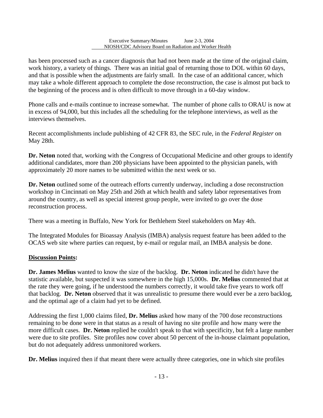has been processed such as a cancer diagnosis that had not been made at the time of the original claim, work history, a variety of things. There was an initial goal of returning those to DOL within 60 days, and that is possible when the adjustments are fairly small. In the case of an additional cancer, which may take a whole different approach to complete the dose reconstruction, the case is almost put back to the beginning of the process and is often difficult to move through in a 60-day window.

l

Phone calls and e-mails continue to increase somewhat. The number of phone calls to ORAU is now at in excess of 94,000, but this includes all the scheduling for the telephone interviews, as well as the interviews themselves.

Recent accomplishments include publishing of 42 CFR 83, the SEC rule, in the *Federal Register* on May 28th.

**Dr. Neton** noted that, working with the Congress of Occupational Medicine and other groups to identify additional candidates, more than 200 physicians have been appointed to the physician panels, with approximately 20 more names to be submitted within the next week or so.

**Dr. Neton** outlined some of the outreach efforts currently underway, including a dose reconstruction workshop in Cincinnati on May 25th and 26th at which health and safety labor representatives from around the country, as well as special interest group people, were invited to go over the dose reconstruction process.

There was a meeting in Buffalo, New York for Bethlehem Steel stakeholders on May 4th.

The Integrated Modules for Bioassay Analysis (IMBA) analysis request feature has been added to the OCAS web site where parties can request, by e-mail or regular mail, an IMBA analysis be done.

### **Discussion Points:**

**Dr. James Melius** wanted to know the size of the backlog. **Dr. Neton** indicated he didn't have the statistic available, but suspected it was somewhere in the high 15,000s. **Dr. Melius** commented that at the rate they were going, if he understood the numbers correctly, it would take five years to work off that backlog. **Dr. Neton** observed that it was unrealistic to presume there would ever be a zero backlog, and the optimal age of a claim had yet to be defined.

Addressing the first 1,000 claims filed, **Dr. Melius** asked how many of the 700 dose reconstructions remaining to be done were in that status as a result of having no site profile and how many were the more difficult cases. **Dr. Neton** replied he couldn't speak to that with specificity, but felt a large number were due to site profiles. Site profiles now cover about 50 percent of the in-house claimant population, but do not adequately address unmonitored workers.

**Dr. Melius** inquired then if that meant there were actually three categories, one in which site profiles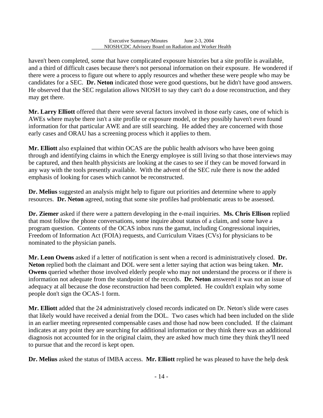l

haven't been completed, some that have complicated exposure histories but a site profile is available, and a third of difficult cases because there's not personal information on their exposure. He wondered if there were a process to figure out where to apply resources and whether these were people who may be candidates for a SEC. **Dr. Neton** indicated those were good questions, but he didn't have good answers. He observed that the SEC regulation allows NIOSH to say they can't do a dose reconstruction, and they may get there.

**Mr. Larry Elliott** offered that there were several factors involved in those early cases, one of which is AWEs where maybe there isn't a site profile or exposure model, or they possibly haven't even found information for that particular AWE and are still searching. He added they are concerned with those early cases and ORAU has a screening process which it applies to them.

**Mr. Elliott** also explained that within OCAS are the public health advisors who have been going through and identifying claims in which the Energy employee is still living so that those interviews may be captured, and then health physicists are looking at the cases to see if they can be moved forward in any way with the tools presently available. With the advent of the SEC rule there is now the added emphasis of looking for cases which cannot be reconstructed.

**Dr. Melius** suggested an analysis might help to figure out priorities and determine where to apply resources. **Dr. Neton** agreed, noting that some site profiles had problematic areas to be assessed.

**Dr. Ziemer** asked if there were a pattern developing in the e-mail inquiries. **Ms. Chris Ellison** replied that most follow the phone conversations, some inquire about status of a claim, and some have a program question. Contents of the OCAS inbox runs the gamut, including Congressional inquiries, Freedom of Information Act (FOIA) requests, and Curriculum Vitaes (CVs) for physicians to be nominated to the physician panels.

**Mr. Leon Owens** asked if a letter of notification is sent when a record is administratively closed. **Dr. Neton** replied both the claimant and DOL were sent a letter saying that action was being taken. **Mr. Owens** queried whether those involved elderly people who may not understand the process or if there is information not adequate from the standpoint of the records. **Dr. Neton** answered it was not an issue of adequacy at all because the dose reconstruction had been completed. He couldn't explain why some people don't sign the OCAS-1 form.

**Mr. Elliott** added that the 24 administratively closed records indicated on Dr. Neton's slide were cases that likely would have received a denial from the DOL. Two cases which had been included on the slide in an earlier meeting represented compensable cases and those had now been concluded. If the claimant indicates at any point they are searching for additional information or they think there was an additional diagnosis not accounted for in the original claim, they are asked how much time they think they'll need to pursue that and the record is kept open.

**Dr. Melius** asked the status of IMBA access. **Mr. Elliott** replied he was pleased to have the help desk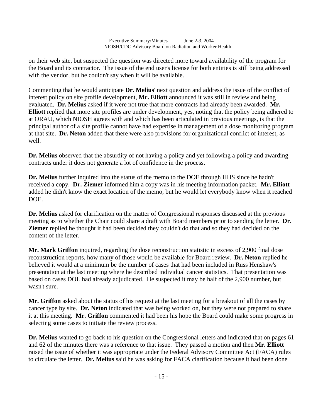on their web site, but suspected the question was directed more toward availability of the program for the Board and its contractor. The issue of the end user's license for both entities is still being addressed with the vendor, but he couldn't say when it will be available.

l

Commenting that he would anticipate **Dr. Melius**' next question and address the issue of the conflict of interest policy on site profile development, **Mr. Elliott** announced it was still in review and being evaluated. **Dr. Melius** asked if it were not true that more contracts had already been awarded. **Mr. Elliott** replied that more site profiles are under development, yes, noting that the policy being adhered to at ORAU, which NIOSH agrees with and which has been articulated in previous meetings, is that the principal author of a site profile cannot have had expertise in management of a dose monitoring program at that site. **Dr. Neton** added that there were also provisions for organizational conflict of interest, as well.

**Dr. Melius** observed that the absurdity of not having a policy and yet following a policy and awarding contracts under it does not generate a lot of confidence in the process.

**Dr. Melius** further inquired into the status of the memo to the DOE through HHS since he hadn't received a copy. **Dr. Ziemer** informed him a copy was in his meeting information packet. **Mr. Elliott**  added he didn't know the exact location of the memo, but he would let everybody know when it reached DOE.

**Dr. Melius** asked for clarification on the matter of Congressional responses discussed at the previous meeting as to whether the Chair could share a draft with Board members prior to sending the letter. **Dr. Ziemer** replied he thought it had been decided they couldn't do that and so they had decided on the content of the letter.

**Mr. Mark Griffon** inquired, regarding the dose reconstruction statistic in excess of 2,900 final dose reconstruction reports, how many of those would be available for Board review. **Dr. Neton** replied he believed it would at a minimum be the number of cases that had been included in Russ Henshaw's presentation at the last meeting where he described individual cancer statistics. That presentation was based on cases DOL had already adjudicated. He suspected it may be half of the 2,900 number, but wasn't sure.

**Mr. Griffon** asked about the status of his request at the last meeting for a breakout of all the cases by cancer type by site. **Dr. Neton** indicated that was being worked on, but they were not prepared to share it at this meeting. **Mr. Griffon** commented it had been his hope the Board could make some progress in selecting some cases to initiate the review process.

**Dr. Melius** wanted to go back to his question on the Congressional letters and indicated that on pages 61 and 62 of the minutes there was a reference to that issue. They passed a motion and then **Mr. Elliott**  raised the issue of whether it was appropriate under the Federal Advisory Committee Act (FACA) rules to circulate the letter. **Dr. Melius** said he was asking for FACA clarification because it had been done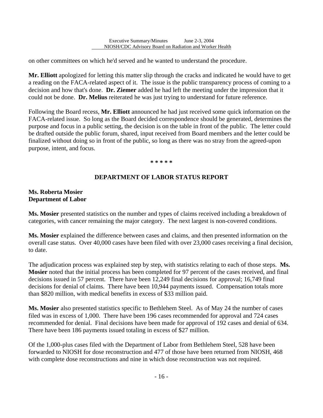on other committees on which he'd served and he wanted to understand the procedure.

l

**Mr. Elliott** apologized for letting this matter slip through the cracks and indicated he would have to get a reading on the FACA-related aspect of it. The issue is the public transparency process of coming to a decision and how that's done. **Dr. Ziemer** added he had left the meeting under the impression that it could not be done. **Dr. Melius** reiterated he was just trying to understand for future reference.

Following the Board recess, **Mr. Elliott** announced he had just received some quick information on the FACA-related issue. So long as the Board decided correspondence should be generated, determines the purpose and focus in a public setting, the decision is on the table in front of the public. The letter could be drafted outside the public forum, shared, input received from Board members and the letter could be finalized without doing so in front of the public, so long as there was no stray from the agreed-upon purpose, intent, and focus.

**\* \* \* \* \*** 

## **DEPARTMENT OF LABOR STATUS REPORT**

### **Ms. Roberta Mosier Department of Labor**

**Ms. Mosier** presented statistics on the number and types of claims received including a breakdown of categories, with cancer remaining the major category. The next largest is non-covered conditions.

**Ms. Mosier** explained the difference between cases and claims, and then presented information on the overall case status. Over 40,000 cases have been filed with over 23,000 cases receiving a final decision, to date.

 The adjudication process was explained step by step, with statistics relating to each of those steps. **Ms. Mosier** noted that the initial process has been completed for 97 percent of the cases received, and final decisions issued in 57 percent. There have been 12,249 final decisions for approval; 16,749 final decisions for denial of claims. There have been 10,944 payments issued. Compensation totals more than \$820 million, with medical benefits in excess of \$33 million paid.

**Ms. Mosier** also presented statistics specific to Bethlehem Steel. As of May 24 the number of cases filed was in excess of 1,000. There have been 196 cases recommended for approval and 724 cases recommended for denial. Final decisions have been made for approval of 192 cases and denial of 634. There have been 186 payments issued totaling in excess of \$27 million.

Of the 1,000-plus cases filed with the Department of Labor from Bethlehem Steel, 528 have been forwarded to NIOSH for dose reconstruction and 477 of those have been returned from NIOSH, 468 with complete dose reconstructions and nine in which dose reconstruction was not required.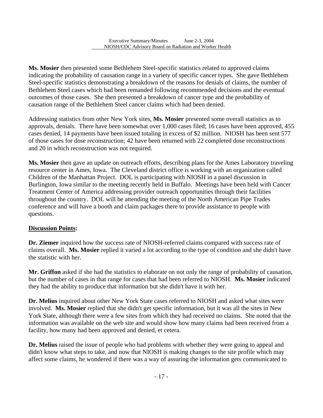l

**Ms. Mosier** then presented some Bethlehem Steel-specific statistics related to approved claims indicating the probability of causation range in a variety of specific cancer types. She gave Bethlehem Steel-specific statistics demonstrating a breakdown of the reasons for denials of claims, the number of Bethlehem Steel cases which had been remanded following recommended decisions and the eventual outcomes of those cases. She then presented a breakdown of cancer type and the probability of causation range of the Bethlehem Steel cancer claims which had been denied.

Addressing statistics from other New York sites, **Ms. Mosier** presented some overall statistics as to approvals, denials. There have been somewhat over 1,000 cases filed; 16 cases have been approved, 455 cases denied, 14 payments have been issued totaling in excess of \$2 million. NIOSH has been sent 577 of those cases for dose reconstruction; 42 have been returned with 22 completed dose reconstructions and 20 in which reconstruction was not required.

**Ms. Mosier** then gave an update on outreach efforts, describing plans for the Ames Laboratory traveling resource center in Ames, Iowa. The Cleveland district office is working with an organization called Children of the Manhattan Project. DOL is participating with NIOSH in a panel discussion in Burlington, Iowa similar to the meeting recently held in Buffalo. Meetings have been held with Cancer Treatment Center of America addressing provider outreach opportunities through their facilities throughout the country. DOL will be attending the meeting of the North American Pipe Trades conference and will have a booth and claim packages there to provide assistance to people with questions.

## **Discussion Points:**

**Dr. Ziemer** inquired how the success rate of NIOSH-referred claims compared with success rate of claims overall. **Ms. Mosier** replied it varied a lot according to the type of condition and she didn't have the statistic with her.

**Mr. Griffon** asked if she had the statistics to elaborate on not only the range of probability of causation, but the number of cases in that range for cases that had been referred to NIOSH. **Ms. Mosier** indicated they had the ability to produce that information but she didn't have it with her.

**Dr. Melius** inquired about other New York State cases referred to NIOSH and asked what sites were involved. **Ms. Mosier** replied that she didn't get specific information, but it was all the sites in New York State, although there were a few sites from which they had received no claims. She noted that the information was available on the web site and would show how many claims had been received from a facility, how many had been approved and denied, et cetera.

**Dr. Melius** raised the issue of people who had problems with whether they were going to appeal and didn't know what steps to take, and now that NIOSH is making changes to the site profile which may affect some claims, he wondered if there was a way of assuring the information gets communicated to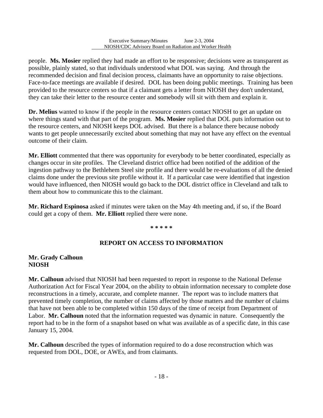l

people. **Ms. Mosier** replied they had made an effort to be responsive; decisions were as transparent as possible, plainly stated, so that individuals understood what DOL was saying. And through the recommended decision and final decision process, claimants have an opportunity to raise objections. Face-to-face meetings are available if desired. DOL has been doing public meetings. Training has been provided to the resource centers so that if a claimant gets a letter from NIOSH they don't understand, they can take their letter to the resource center and somebody will sit with them and explain it.

**Dr. Melius** wanted to know if the people in the resource centers contact NIOSH to get an update on where things stand with that part of the program. **Ms. Mosier** replied that DOL puts information out to the resource centers, and NIOSH keeps DOL advised. But there is a balance there because nobody wants to get people unnecessarily excited about something that may not have any effect on the eventual outcome of their claim.

**Mr. Elliott** commented that there was opportunity for everybody to be better coordinated, especially as changes occur in site profiles. The Cleveland district office had been notified of the addition of the ingestion pathway to the Bethlehem Steel site profile and there would be re-evaluations of all the denied claims done under the previous site profile without it. If a particular case were identified that ingestion would have influenced, then NIOSH would go back to the DOL district office in Cleveland and talk to them about how to communicate this to the claimant.

**Mr. Richard Espinosa** asked if minutes were taken on the May 4th meeting and, if so, if the Board could get a copy of them. **Mr. Elliott** replied there were none.

#### **\* \* \* \* \***

## **REPORT ON ACCESS TO INFORMATION**

### **Mr. Grady Calhoun NIOSH**

**Mr. Calhoun** advised that NIOSH had been requested to report in response to the National Defense Authorization Act for Fiscal Year 2004, on the ability to obtain information necessary to complete dose reconstructions in a timely, accurate, and complete manner. The report was to include matters that prevented timely completion, the number of claims affected by those matters and the number of claims that have not been able to be completed within 150 days of the time of receipt from Department of Labor. **Mr. Calhoun** noted that the information requested was dynamic in nature. Consequently the report had to be in the form of a snapshot based on what was available as of a specific date, in this case January 15, 2004.

**Mr. Calhoun** described the types of information required to do a dose reconstruction which was requested from DOL, DOE, or AWEs, and from claimants.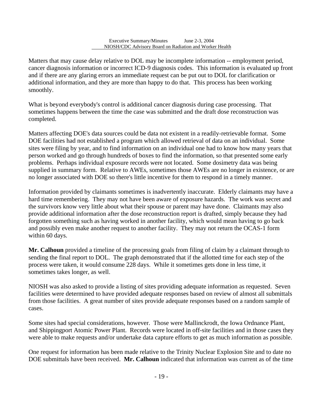l

Matters that may cause delay relative to DOL may be incomplete information -- employment period, cancer diagnosis information or incorrect ICD-9 diagnosis codes. This information is evaluated up front and if there are any glaring errors an immediate request can be put out to DOL for clarification or additional information, and they are more than happy to do that. This process has been working smoothly.

What is beyond everybody's control is additional cancer diagnosis during case processing. That sometimes happens between the time the case was submitted and the draft dose reconstruction was completed.

Matters affecting DOE's data sources could be data not existent in a readily-retrievable format. Some DOE facilities had not established a program which allowed retrieval of data on an individual. Some sites were filing by year, and to find information on an individual one had to know how many years that person worked and go through hundreds of boxes to find the information, so that presented some early problems. Perhaps individual exposure records were not located. Some dosimetry data was being supplied in summary form. Relative to AWEs, sometimes those AWEs are no longer in existence, or are no longer associated with DOE so there's little incentive for them to respond in a timely manner.

Information provided by claimants sometimes is inadvertently inaccurate. Elderly claimants may have a hard time remembering. They may not have been aware of exposure hazards. The work was secret and the survivors know very little about what their spouse or parent may have done. Claimants may also provide additional information after the dose reconstruction report is drafted, simply because they had forgotten something such as having worked in another facility, which would mean having to go back and possibly even make another request to another facility. They may not return the OCAS-1 form within 60 days.

**Mr. Calhoun** provided a timeline of the processing goals from filing of claim by a claimant through to sending the final report to DOL. The graph demonstrated that if the allotted time for each step of the process were taken, it would consume 228 days. While it sometimes gets done in less time, it sometimes takes longer, as well.

NIOSH was also asked to provide a listing of sites providing adequate information as requested. Seven facilities were determined to have provided adequate responses based on review of almost all submittals from those facilities. A great number of sites provide adequate responses based on a random sample of cases.

Some sites had special considerations, however. Those were Mallinckrodt, the Iowa Ordnance Plant, and Shippingport Atomic Power Plant. Records were located in off-site facilities and in those cases they were able to make requests and/or undertake data capture efforts to get as much information as possible.

One request for information has been made relative to the Trinity Nuclear Explosion Site and to date no DOE submittals have been received. **Mr. Calhoun** indicated that information was current as of the time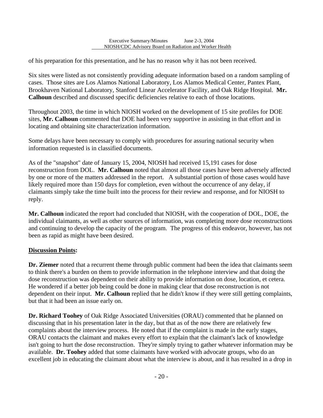of his preparation for this presentation, and he has no reason why it has not been received.

l

Six sites were listed as not consistently providing adequate information based on a random sampling of cases. Those sites are Los Alamos National Laboratory, Los Alamos Medical Center, Pantex Plant, Brookhaven National Laboratory, Stanford Linear Accelerator Facility, and Oak Ridge Hospital. **Mr. Calhoun** described and discussed specific deficiencies relative to each of those locations.

Throughout 2003, the time in which NIOSH worked on the development of 15 site profiles for DOE sites, **Mr. Calhoun** commented that DOE had been very supportive in assisting in that effort and in locating and obtaining site characterization information.

Some delays have been necessary to comply with procedures for assuring national security when information requested is in classified documents.

As of the "snapshot" date of January 15, 2004, NIOSH had received 15,191 cases for dose reconstruction from DOL. **Mr. Calhoun** noted that almost all those cases have been adversely affected by one or more of the matters addressed in the report. A substantial portion of those cases would have likely required more than 150 days for completion, even without the occurrence of any delay, if claimants simply take the time built into the process for their review and response, and for NIOSH to reply.

**Mr. Calhoun** indicated the report had concluded that NIOSH, with the cooperation of DOL, DOE, the individual claimants, as well as other sources of information, was completing more dose reconstructions and continuing to develop the capacity of the program. The progress of this endeavor, however, has not been as rapid as might have been desired.

### **Discussion Points:**

**Dr. Ziemer** noted that a recurrent theme through public comment had been the idea that claimants seem to think there's a burden on them to provide information in the telephone interview and that doing the dose reconstruction was dependent on their ability to provide information on dose, location, et cetera. He wondered if a better job being could be done in making clear that dose reconstruction is not dependent on their input. **Mr. Calhoun** replied that he didn't know if they were still getting complaints, but that it had been an issue early on.

**Dr. Richard Toohey** of Oak Ridge Associated Universities (ORAU) commented that he planned on discussing that in his presentation later in the day, but that as of the now there are relatively few complaints about the interview process. He noted that if the complaint is made in the early stages, ORAU contacts the claimant and makes every effort to explain that the claimant's lack of knowledge isn't going to hurt the dose reconstruction. They're simply trying to gather whatever information may be available. **Dr. Toohey** added that some claimants have worked with advocate groups, who do an excellent job in educating the claimant about what the interview is about, and it has resulted in a drop in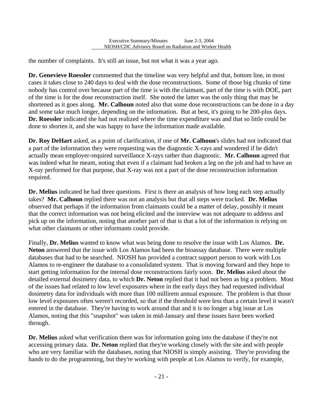the number of complaints. It's still an issue, but not what it was a year ago.

l

**Dr. Genevieve Roessler** commented that the timeline was very helpful and that, bottom line, in most cases it takes close to 240 days to deal with the dose reconstructions. Some of those big chunks of time nobody has control over because part of the time is with the claimant, part of the time is with DOE, part of the time is for the dose reconstruction itself. She noted the latter was the only thing that may be shortened as it goes along. **Mr. Calhoun** noted also that some dose reconstructions can be done in a day and some take much longer, depending on the information. But at best, it's going to be 200-plus days. **Dr. Roessler** indicated she had not realized where the time expenditure was and that so little could be done to shorten it, and she was happy to have the information made available.

**Dr. Roy DeHart** asked, as a point of clarification, if one of **Mr. Calhoun**'s slides had not indicated that a part of the information they were requesting was the diagnostic X-rays and wondered if he didn't actually mean employer-required surveillance X-rays rather than diagnostic. **Mr. Calhoun** agreed that was indeed what he meant, noting that even if a claimant had broken a leg on the job and had to have an X-ray performed for that purpose, that X-ray was not a part of the dose reconstruction information required.

 takes? **Mr. Calhoun** replied there was not an analysis but that all steps were tracked. **Dr. Melius Dr. Melius** indicated he had three questions. First is there an analysis of how long each step actually observed that perhaps if the information from claimants could be a matter of delay, possibly it meant that the correct information was not being elicited and the interview was not adequate to address and pick up on the information, noting that another part of that is that a lot of the information is relying on what other claimants or other informants could provide.

Finally, **Dr. Melius** wanted to know what was being done to resolve the issue with Los Alamos. **Dr. Neton** answered that the issue with Los Alamos had been the bioassay database. There were multiple databases that had to be searched. NIOSH has provided a contract support person to work with Los Alamos to re-engineer the database to a consolidated system. That is moving forward and they hope to start getting information for the internal dose reconstructions fairly soon. **Dr. Melius** asked about the detailed external dosimetry data, to which **Dr. Neton** replied that it had not been as big a problem. Most of the issues had related to low level exposures where in the early days they had requested individual dosimetry data for individuals with more than 100 millirem annual exposure. The problem is that those low level exposures often weren't recorded, so that if the threshold were less than a certain level it wasn't entered in the database. They're having to work around that and it is no longer a big issue at Los Alamos, noting that this "snapshot" was taken in mid-January and these issues have been worked through.

**Dr. Melius** asked what verification there was for information going into the database if they're not accessing primary data. **Dr. Neton** replied that they're working closely with the site and with people who are very familiar with the databases, noting that NIOSH is simply assisting. They're providing the hands to do the programming, but they're working with people at Los Alamos to verify, for example,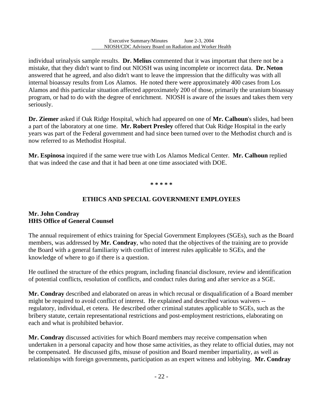individual urinalysis sample results. **Dr. Melius** commented that it was important that there not be a mistake, that they didn't want to find out NIOSH was using incomplete or incorrect data. **Dr. Neton**  answered that he agreed, and also didn't want to leave the impression that the difficulty was with all internal bioassay results from Los Alamos. He noted there were approximately 400 cases from Los Alamos and this particular situation affected approximately 200 of those, primarily the uranium bioassay program, or had to do with the degree of enrichment. NIOSH is aware of the issues and takes them very seriously.

**Dr. Ziemer** asked if Oak Ridge Hospital, which had appeared on one of **Mr. Calhoun**'s slides, had been a part of the laboratory at one time. **Mr. Robert Presley** offered that Oak Ridge Hospital in the early years was part of the Federal government and had since been turned over to the Methodist church and is now referred to as Methodist Hospital.

**Mr. Espinosa** inquired if the same were true with Los Alamos Medical Center. **Mr. Calhoun** replied that was indeed the case and that it had been at one time associated with DOE.

**\* \* \* \* \*** 

## **ETHICS AND SPECIAL GOVERNMENT EMPLOYEES**

### **Mr. John Condray HHS Office of General Counsel**

l

The annual requirement of ethics training for Special Government Employees (SGEs), such as the Board members, was addressed by **Mr. Condray**, who noted that the objectives of the training are to provide the Board with a general familiarity with conflict of interest rules applicable to SGEs, and the knowledge of where to go if there is a question.

He outlined the structure of the ethics program, including financial disclosure, review and identification of potential conflicts, resolution of conflicts, and conduct rules during and after service as a SGE.

**Mr. Condray** described and elaborated on areas in which recusal or disqualification of a Board member might be required to avoid conflict of interest. He explained and described various waivers - regulatory, individual, et cetera. He described other criminal statutes applicable to SGEs, such as the bribery statute, certain representational restrictions and post-employment restrictions, elaborating on each and what is prohibited behavior.

**Mr. Condray** discussed activities for which Board members may receive compensation when undertaken in a personal capacity and how those same activities, as they relate to official duties, may not be compensated. He discussed gifts, misuse of position and Board member impartiality, as well as relationships with foreign governments, participation as an expert witness and lobbying. **Mr. Condray**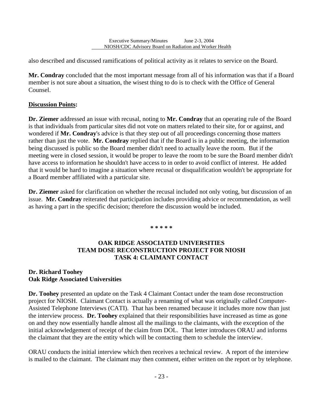also described and discussed ramifications of political activity as it relates to service on the Board.

**Mr. Condray** concluded that the most important message from all of his information was that if a Board member is not sure about a situation, the wisest thing to do is to check with the Office of General Counsel.

### **Discussion Points:**

l

**Dr. Ziemer** addressed an issue with recusal, noting to **Mr. Condray** that an operating rule of the Board is that individuals from particular sites did not vote on matters related to their site, for or against, and wondered if **Mr. Condray**'s advice is that they step out of all proceedings concerning those matters rather than just the vote. **Mr. Condray** replied that if the Board is in a public meeting, the information being discussed is public so the Board member didn't need to actually leave the room. But if the meeting were in closed session, it would be proper to leave the room to be sure the Board member didn't have access to information he shouldn't have access to in order to avoid conflict of interest. He added that it would be hard to imagine a situation where recusal or disqualification wouldn't be appropriate for a Board member affiliated with a particular site.

**Dr. Ziemer** asked for clarification on whether the recusal included not only voting, but discussion of an issue. **Mr. Condray** reiterated that participation includes providing advice or recommendation, as well as having a part in the specific decision; therefore the discussion would be included.

**\* \* \* \* \***

### **OAK RIDGE ASSOCIATED UNIVERSITIES TEAM DOSE RECONSTRUCTION PROJECT FOR NIOSH TASK 4: CLAIMANT CONTACT**

### **Dr. Richard Toohey Oak Ridge Associated Universities**

**Dr. Toohey** presented an update on the Task 4 Claimant Contact under the team dose reconstruction project for NIOSH. Claimant Contact is actually a renaming of what was originally called Computer-Assisted Telephone Interviews (CATI). That has been renamed because it includes more now than just the interview process. **Dr. Toohey** explained that their responsibilities have increased as time as gone on and they now essentially handle almost all the mailings to the claimants, with the exception of the initial acknowledgement of receipt of the claim from DOL. That letter introduces ORAU and informs the claimant that they are the entity which will be contacting them to schedule the interview.

ORAU conducts the initial interview which then receives a technical review. A report of the interview is mailed to the claimant. The claimant may then comment, either written on the report or by telephone.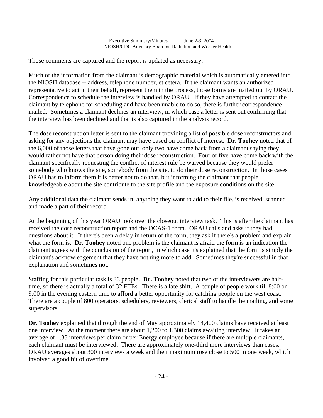Those comments are captured and the report is updated as necessary.

l

Much of the information from the claimant is demographic material which is automatically entered into the NIOSH database -- address, telephone number, et cetera. If the claimant wants an authorized representative to act in their behalf, represent them in the process, those forms are mailed out by ORAU. Correspondence to schedule the interview is handled by ORAU. If they have attempted to contact the claimant by telephone for scheduling and have been unable to do so, there is further correspondence mailed. Sometimes a claimant declines an interview, in which case a letter is sent out confirming that the interview has been declined and that is also captured in the analysis record.

The dose reconstruction letter is sent to the claimant providing a list of possible dose reconstructors and asking for any objections the claimant may have based on conflict of interest. **Dr. Toohey** noted that of the 6,000 of those letters that have gone out, only two have come back from a claimant saying they would rather not have that person doing their dose reconstruction. Four or five have come back with the claimant specifically requesting the conflict of interest rule be waived because they would prefer somebody who knows the site, somebody from the site, to do their dose reconstruction. In those cases ORAU has to inform them it is better not to do that, but informing the claimant that people knowledgeable about the site contribute to the site profile and the exposure conditions on the site.

Any additional data the claimant sends in, anything they want to add to their file, is received, scanned and made a part of their record.

At the beginning of this year ORAU took over the closeout interview task. This is after the claimant has received the dose reconstruction report and the OCAS-1 form. ORAU calls and asks if they had questions about it. If there's been a delay in return of the form, they ask if there's a problem and explain what the form is. **Dr. Toohey** noted one problem is the claimant is afraid the form is an indication the claimant agrees with the conclusion of the report, in which case it's explained that the form is simply the claimant's acknowledgement that they have nothing more to add. Sometimes they're successful in that explanation and sometimes not.

Staffing for this particular task is 33 people. **Dr. Toohey** noted that two of the interviewers are halftime, so there is actually a total of 32 FTEs. There is a late shift. A couple of people work till 8:00 or 9:00 in the evening eastern time to afford a better opportunity for catching people on the west coast. There are a couple of 800 operators, schedulers, reviewers, clerical staff to handle the mailing, and some supervisors.

**Dr. Toohey** explained that through the end of May approximately 14,400 claims have received at least one interview. At the moment there are about 1,200 to 1,300 claims awaiting interview. It takes an average of 1.33 interviews per claim or per Energy employee because if there are multiple claimants, each claimant must be interviewed. There are approximately one-third more interviews than cases. ORAU averages about 300 interviews a week and their maximum rose close to 500 in one week, which involved a good bit of overtime.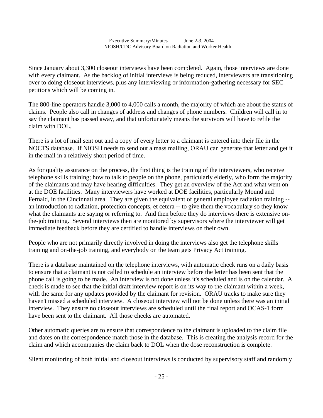l

Since January about 3,300 closeout interviews have been completed. Again, those interviews are done with every claimant. As the backlog of initial interviews is being reduced, interviewers are transitioning over to doing closeout interviews, plus any interviewing or information-gathering necessary for SEC petitions which will be coming in.

The 800-line operators handle 3,000 to 4,000 calls a month, the majority of which are about the status of claims. People also call in changes of address and changes of phone numbers. Children will call in to say the claimant has passed away, and that unfortunately means the survivors will have to refile the claim with DOL.

There is a lot of mail sent out and a copy of every letter to a claimant is entered into their file in the NOCTS database. If NIOSH needs to send out a mass mailing, ORAU can generate that letter and get it in the mail in a relatively short period of time.

As for quality assurance on the process, the first thing is the training of the interviewers, who receive telephone skills training; how to talk to people on the phone, particularly elderly, who form the majority of the claimants and may have hearing difficulties. They get an overview of the Act and what went on at the DOE facilities. Many interviewers have worked at DOE facilities, particularly Mound and Fernald, in the Cincinnati area. They are given the equivalent of general employee radiation training - an introduction to radiation, protection concepts, et cetera -- to give them the vocabulary so they know what the claimants are saying or referring to. And then before they do interviews there is extensive onthe-job training. Several interviews then are monitored by supervisors where the interviewer will get immediate feedback before they are certified to handle interviews on their own.

People who are not primarily directly involved in doing the interviews also get the telephone skills training and on-the-job training, and everybody on the team gets Privacy Act training.

There is a database maintained on the telephone interviews, with automatic check runs on a daily basis to ensure that a claimant is not called to schedule an interview before the letter has been sent that the phone call is going to be made. An interview is not done unless it's scheduled and is on the calendar. A check is made to see that the initial draft interview report is on its way to the claimant within a week, with the same for any updates provided by the claimant for revision. ORAU tracks to make sure they haven't missed a scheduled interview. A closeout interview will not be done unless there was an initial interview. They ensure no closeout interviews are scheduled until the final report and OCAS-1 form have been sent to the claimant. All those checks are automated.

Other automatic queries are to ensure that correspondence to the claimant is uploaded to the claim file and dates on the correspondence match those in the database. This is creating the analysis record for the claim and which accompanies the claim back to DOL when the dose reconstruction is complete.

Silent monitoring of both initial and closeout interviews is conducted by supervisory staff and randomly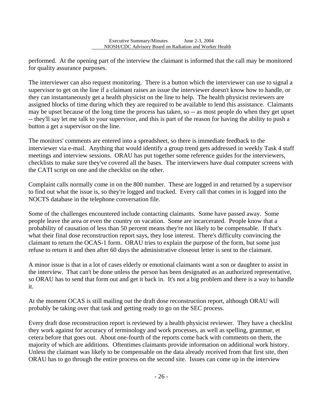performed. At the opening part of the interview the claimant is informed that the call may be monitored for quality assurance purposes.

l

The interviewer can also request monitoring. There is a button which the interviewer can use to signal a supervisor to get on the line if a claimant raises an issue the interviewer doesn't know how to handle, or they can instantaneously get a health physicist on the line to help. The health physicist reviewers are assigned blocks of time during which they are required to be available to lend this assistance. Claimants may be upset because of the long time the process has taken, so -- as most people do when they get upset -- they'll say let me talk to your supervisor, and this is part of the reason for having the ability to push a button a get a supervisor on the line.

The monitors' comments are entered into a spreadsheet, so there is immediate feedback to the interviewer via e-mail. Anything that would identify a group trend gets addressed in weekly Task 4 staff meetings and interview sessions. ORAU has put together some reference guides for the interviewers, checklists to make sure they've covered all the bases. The interviewers have dual computer screens with the CATI script on one and the checklist on the other.

Complaint calls normally come in on the 800 number. These are logged in and returned by a supervisor to find out what the issue is, so they're logged and tracked. Every call that comes in is logged into the NOCTS database in the telephone conversation file.

Some of the challenges encountered include contacting claimants. Some have passed away. Some people leave the area or even the country on vacation. Some are incarcerated. People know that a probability of causation of less than 50 percent means they're not likely to be compensable. If that's what their final dose reconstruction report says, they lose interest. There's difficulty convincing the claimant to return the OCAS-1 form. ORAU tries to explain the purpose of the form, but some just refuse to return it and then after 60 days the administrative closeout letter is sent to the claimant.

A minor issue is that in a lot of cases elderly or emotional claimants want a son or daughter to assist in the interview. That can't be done unless the person has been designated as an authorized representative, so ORAU has to send that form out and get it back in. It's not a big problem and there is a way to handle it.

At the moment OCAS is still mailing out the draft dose reconstruction report, although ORAU will probably be taking over that task and getting ready to go on the SEC process.

Every draft dose reconstruction report is reviewed by a health physicist reviewer. They have a checklist they work against for accuracy of terminology and work processes, as well as spelling, grammar, et cetera before that goes out. About one-fourth of the reports come back with comments on them, the majority of which are additions. Oftentimes claimants provide information on additional work history. Unless the claimant was likely to be compensable on the data already received from that first site, then ORAU has to go through the entire process on the second site. Issues can come up in the interview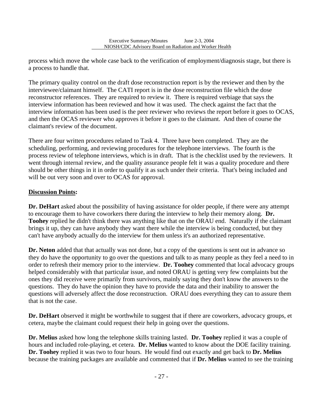process which move the whole case back to the verification of employment/diagnosis stage, but there is a process to handle that.

The primary quality control on the draft dose reconstruction report is by the reviewer and then by the interviewee/claimant himself. The CATI report is in the dose reconstruction file which the dose reconstructor references. They are required to review it. There is required verbiage that says the interview information has been reviewed and how it was used. The check against the fact that the interview information has been used is the peer reviewer who reviews the report before it goes to OCAS, and then the OCAS reviewer who approves it before it goes to the claimant. And then of course the claimant's review of the document.

There are four written procedures related to Task 4. Three have been completed. They are the scheduling, performing, and reviewing procedures for the telephone interviews. The fourth is the process review of telephone interviews, which is in draft. That is the checklist used by the reviewers. It went through internal review, and the quality assurance people felt it was a quality procedure and there should be other things in it in order to qualify it as such under their criteria. That's being included and will be out very soon and over to OCAS for approval.

### **Discussion Points:**

l

**Dr. DeHart** asked about the possibility of having assistance for older people, if there were any attempt to encourage them to have coworkers there during the interview to help their memory along. **Dr. Toohey** replied he didn't think there was anything like that on the ORAU end. Naturally if the claimant brings it up, they can have anybody they want there while the interview is being conducted, but they can't have anybody actually do the interview for them unless it's an authorized representative.

**Dr. Neton** added that that actually was not done, but a copy of the questions is sent out in advance so they do have the opportunity to go over the questions and talk to as many people as they feel a need to in order to refresh their memory prior to the interview. **Dr. Toohey** commented that local advocacy groups helped considerably with that particular issue, and noted ORAU is getting very few complaints but the ones they did receive were primarily from survivors, mainly saying they don't know the answers to the questions. They do have the opinion they have to provide the data and their inability to answer the questions will adversely affect the dose reconstruction. ORAU does everything they can to assure them that is not the case.

**Dr. DeHart** observed it might be worthwhile to suggest that if there are coworkers, advocacy groups, et cetera, maybe the claimant could request their help in going over the questions.

**Dr. Melius** asked how long the telephone skills training lasted. **Dr. Toohey** replied it was a couple of hours and included role-playing, et cetera. **Dr. Melius** wanted to know about the DOE facility training. **Dr. Toohey** replied it was two to four hours. He would find out exactly and get back to **Dr. Melius**  because the training packages are available and commented that if **Dr. Melius** wanted to see the training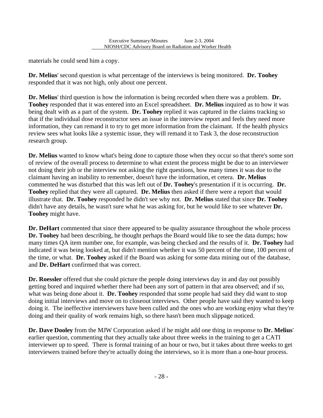materials he could send him a copy.

l

**Dr. Melius**' second question is what percentage of the interviews is being monitored. **Dr. Toohey**  responded that it was not high, only about one percent.

**Dr. Melius**' third question is how the information is being recorded when there was a problem. **Dr. Toohey** responded that it was entered into an Excel spreadsheet. **Dr. Melius** inquired as to how it was being dealt with as a part of the system. **Dr. Toohey** replied it was captured in the claims tracking so that if the individual dose reconstructor sees an issue in the interview report and feels they need more information, they can remand it to try to get more information from the claimant. If the health physics review sees what looks like a systemic issue, they will remand it to Task 3, the dose reconstruction research group.

**Dr. Melius** wanted to know what's being done to capture those when they occur so that there's some sort of review of the overall process to determine to what extent the process might be due to an interviewer not doing their job or the interview not asking the right questions, how many times it was due to the claimant having an inability to remember, doesn't have the information, et cetera. **Dr. Melius**  commented he was disturbed that this was left out of **Dr. Toohey**'s presentation if it is occurring. **Dr. Toohey** replied that they were all captured. **Dr. Melius** then asked if there were a report that would illustrate that. **Dr. Toohey** responded he didn't see why not. **Dr. Melius** stated that since **Dr. Toohey**  didn't have any details, he wasn't sure what he was asking for, but he would like to see whatever **Dr. Toohey** might have.

**Dr. DeHart** commented that since there appeared to be quality assurance throughout the whole process **Dr. Toohey** had been describing, he thought perhaps the Board would like to see the data dumps; how many times QA item number one, for example, was being checked and the results of it. **Dr. Toohey** had indicated it was being looked at, but didn't mention whether it was 50 percent of the time, 100 percent of the time, or what. **Dr. Toohey** asked if the Board was asking for some data mining out of the database, and **Dr. DeHart** confirmed that was correct.

**Dr. Roessler** offered that she could picture the people doing interviews day in and day out possibly getting bored and inquired whether there had been any sort of pattern in that area observed; and if so, what was being done about it. **Dr. Toohey** responded that some people had said they did want to stop doing initial interviews and move on to closeout interviews. Other people have said they wanted to keep doing it. The ineffective interviewers have been culled and the ones who are working enjoy what they're doing and their quality of work remains high, so there hasn't been much slippage noticed.

**Dr. Dave Dooley** from the MJW Corporation asked if he might add one thing in response to **Dr. Melius**' earlier question, commenting that they actually take about three weeks in the training to get a CATI interviewer up to speed. There is formal training of an hour or two, but it takes about three weeks to get interviewers trained before they're actually doing the interviews, so it is more than a one-hour process.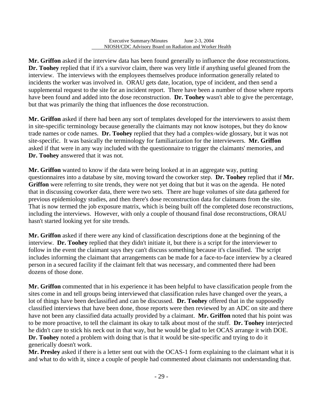l

**Mr. Griffon** asked if the interview data has been found generally to influence the dose reconstructions. **Dr. Toohey** replied that if it's a survivor claim, there was very little if anything useful gleaned from the interview. The interviews with the employees themselves produce information generally related to incidents the worker was involved in. ORAU gets date, location, type of incident, and then send a supplemental request to the site for an incident report. There have been a number of those where reports have been found and added into the dose reconstruction. **Dr. Toohey** wasn't able to give the percentage, but that was primarily the thing that influences the dose reconstruction.

 site-specific. It was basically the terminology for familiarization for the interviewers. **Mr. Griffon Mr. Griffon** asked if there had been any sort of templates developed for the interviewers to assist them in site-specific terminology because generally the claimants may not know isotopes, but they do know trade names or code names. **Dr. Toohey** replied that they had a complex-wide glossary, but it was not asked if that were in any way included with the questionnaire to trigger the claimants' memories, and **Dr. Toohey** answered that it was not.

**Mr. Griffon** wanted to know if the data were being looked at in an aggregate way, putting questionnaires into a database by site, moving toward the coworker step. **Dr. Toohey** replied that if **Mr. Griffon** were referring to site trends, they were not yet doing that but it was on the agenda. He noted that in discussing coworker data, there were two sets. There are huge volumes of site data gathered for previous epidemiology studies, and then there's dose reconstruction data for claimants from the site. That is now termed the job exposure matrix, which is being built off the completed dose reconstructions, including the interviews. However, with only a couple of thousand final dose reconstructions, ORAU hasn't started looking yet for site trends.

**Mr. Griffon** asked if there were any kind of classification descriptions done at the beginning of the interview. **Dr. Toohey** replied that they didn't initiate it, but there is a script for the interviewer to follow in the event the claimant says they can't discuss something because it's classified. The script includes informing the claimant that arrangements can be made for a face-to-face interview by a cleared person in a secured facility if the claimant felt that was necessary, and commented there had been dozens of those done.

**Mr. Griffon** commented that in his experience it has been helpful to have classification people from the sites come in and tell groups being interviewed that classification rules have changed over the years, a lot of things have been declassified and can be discussed. **Dr. Toohey** offered that in the supposedly classified interviews that have been done, those reports were then reviewed by an ADC on site and there have not been any classified data actually provided by a claimant. **Mr. Griffon** noted that his point was to be more proactive, to tell the claimant its okay to talk about most of the stuff. **Dr. Toohey** interjected he didn't care to stick his neck out in that way, but he would be glad to let OCAS arrange it with DOE. **Dr. Toohey** noted a problem with doing that is that it would be site-specific and trying to do it generically doesn't work.

**Mr. Presley** asked if there is a letter sent out with the OCAS-1 form explaining to the claimant what it is and what to do with it, since a couple of people had commented about claimants not understanding that.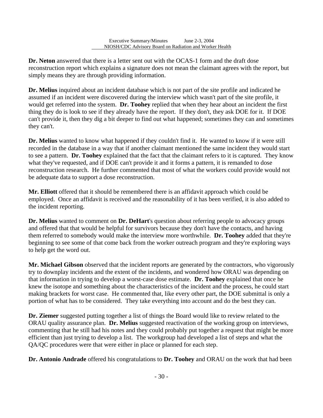**Dr. Neton** answered that there is a letter sent out with the OCAS-1 form and the draft dose reconstruction report which explains a signature does not mean the claimant agrees with the report, but simply means they are through providing information.

l

**Dr. Melius** inquired about an incident database which is not part of the site profile and indicated he assumed if an incident were discovered during the interview which wasn't part of the site profile, it would get referred into the system. **Dr. Toohey** replied that when they hear about an incident the first thing they do is look to see if they already have the report. If they don't, they ask DOE for it. If DOE can't provide it, then they dig a bit deeper to find out what happened; sometimes they can and sometimes they can't.

**Dr. Melius** wanted to know what happened if they couldn't find it. He wanted to know if it were still recorded in the database in a way that if another claimant mentioned the same incident they would start to see a pattern. **Dr. Toohey** explained that the fact that the claimant refers to it is captured. They know what they've requested, and if DOE can't provide it and it forms a pattern, it is remanded to dose reconstruction research. He further commented that most of what the workers could provide would not be adequate data to support a dose reconstruction.

**Mr. Elliott** offered that it should be remembered there is an affidavit approach which could be employed. Once an affidavit is received and the reasonability of it has been verified, it is also added to the incident reporting.

**Dr. Melius** wanted to comment on **Dr. DeHart**'s question about referring people to advocacy groups and offered that that would be helpful for survivors because they don't have the contacts, and having them referred to somebody would make the interview more worthwhile. **Dr. Toohey** added that they're beginning to see some of that come back from the worker outreach program and they're exploring ways to help get the word out.

**Mr. Michael Gibson** observed that the incident reports are generated by the contractors, who vigorously try to downplay incidents and the extent of the incidents, and wondered how ORAU was depending on that information in trying to develop a worst-case dose estimate. **Dr. Toohey** explained that once he knew the isotope and something about the characteristics of the incident and the process, he could start making brackets for worst case. He commented that, like every other part, the DOE submittal is only a portion of what has to be considered. They take everything into account and do the best they can.

**Dr. Ziemer** suggested putting together a list of things the Board would like to review related to the ORAU quality assurance plan. **Dr. Melius** suggested reactivation of the working group on interviews, commenting that he still had his notes and they could probably put together a request that might be more efficient than just trying to develop a list. The workgroup had developed a list of steps and what the QA/QC procedures were that were either in place or planned for each step.

**Dr. Antonio Andrade** offered his congratulations to **Dr. Toohey** and ORAU on the work that had been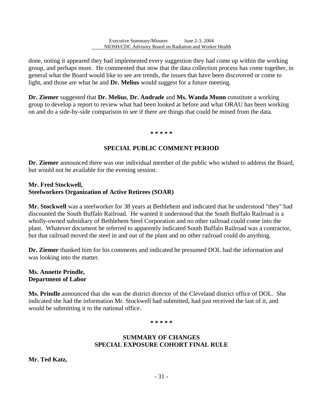done, noting it appeared they had implemented every suggestion they had come up within the working group, and perhaps more. He commented that now that the data collection process has come together, in general what the Board would like to see are trends, the issues that have been discovered or come to light, and those are what he and **Dr. Melius** would suggest for a future meeting.

**Dr. Ziemer** suggested that **Dr. Melius**, **Dr. Andrade** and **Ms. Wanda Munn** constitute a working group to develop a report to review what had been looked at before and what ORAU has been working on and do a side-by-side comparison to see if there are things that could be mined from the data.

**\* \* \* \* \*** 

### **SPECIAL PUBLIC COMMENT PERIOD**

**Dr. Ziemer** announced there was one individual member of the public who wished to address the Board, but would not be available for the evening session.

#### **Mr. Fred Stockwell, Steelworkers Organization of Active Retirees (SOAR)**

l

**Mr. Stockwell** was a steelworker for 38 years at Bethlehem and indicated that he understood "they" had discounted the South Buffalo Railroad. He wanted it understood that the South Buffalo Railroad is a wholly-owned subsidiary of Bethlehem Steel Corporation and no other railroad could come into the plant. Whatever document he referred to apparently indicated South Buffalo Railroad was a contractor, but that railroad moved the steel in and out of the plant and no other railroad could do anything.

**Dr. Ziemer** thanked him for his comments and indicated he presumed DOL had the information and was looking into the matter.

### **Ms. Annette Prindle, Department of Labor**

**Ms. Prindle** announced that she was the district director of the Cleveland district office of DOL. She indicated she had the information Mr. Stockwell had submitted, had just received the last of it, and would be submitting it to the national office.

**\* \* \* \* \***

### **SUMMARY OF CHANGES SPECIAL EXPOSURE COHORT FINAL RULE**

**Mr. Ted Katz,**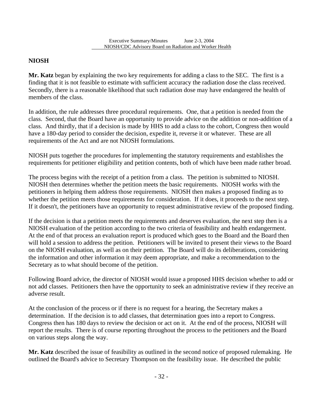## **NIOSH**

l

**Mr. Katz** began by explaining the two key requirements for adding a class to the SEC. The first is a finding that it is not feasible to estimate with sufficient accuracy the radiation dose the class received. Secondly, there is a reasonable likelihood that such radiation dose may have endangered the health of members of the class.

In addition, the rule addresses three procedural requirements. One, that a petition is needed from the class. Second, that the Board have an opportunity to provide advice on the addition or non-addition of a class. And thirdly, that if a decision is made by HHS to add a class to the cohort, Congress then would have a 180-day period to consider the decision, expedite it, reverse it or whatever. These are all requirements of the Act and are not NIOSH formulations.

NIOSH puts together the procedures for implementing the statutory requirements and establishes the requirements for petitioner eligibility and petition contents, both of which have been made rather broad.

The process begins with the receipt of a petition from a class. The petition is submitted to NIOSH. NIOSH then determines whether the petition meets the basic requirements. NIOSH works with the petitioners in helping them address those requirements. NIOSH then makes a proposed finding as to whether the petition meets those requirements for consideration. If it does, it proceeds to the next step. If it doesn't, the petitioners have an opportunity to request administrative review of the proposed finding.

If the decision is that a petition meets the requirements and deserves evaluation, the next step then is a NIOSH evaluation of the petition according to the two criteria of feasibility and health endangerment. At the end of that process an evaluation report is produced which goes to the Board and the Board then will hold a session to address the petition. Petitioners will be invited to present their views to the Board on the NIOSH evaluation, as well as on their petition. The Board will do its deliberations, considering the information and other information it may deem appropriate, and make a recommendation to the Secretary as to what should become of the petition.

Following Board advice, the director of NIOSH would issue a proposed HHS decision whether to add or not add classes. Petitioners then have the opportunity to seek an administrative review if they receive an adverse result.

At the conclusion of the process or if there is no request for a hearing, the Secretary makes a determination. If the decision is to add classes, that determination goes into a report to Congress. Congress then has 180 days to review the decision or act on it. At the end of the process, NIOSH will report the results. There is of course reporting throughout the process to the petitioners and the Board on various steps along the way.

**Mr. Katz** described the issue of feasibility as outlined in the second notice of proposed rulemaking. He outlined the Board's advice to Secretary Thompson on the feasibility issue. He described the public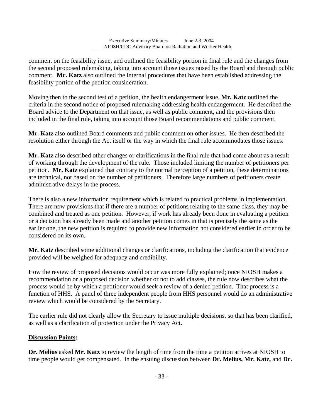l

comment on the feasibility issue, and outlined the feasibility portion in final rule and the changes from the second proposed rulemaking, taking into account those issues raised by the Board and through public comment. **Mr. Katz** also outlined the internal procedures that have been established addressing the feasibility portion of the petition consideration.

Moving then to the second test of a petition, the health endangerment issue, **Mr. Katz** outlined the criteria in the second notice of proposed rulemaking addressing health endangerment. He described the Board advice to the Department on that issue, as well as public comment, and the provisions then included in the final rule, taking into account those Board recommendations and public comment.

**Mr. Katz** also outlined Board comments and public comment on other issues. He then described the resolution either through the Act itself or the way in which the final rule accommodates those issues.

**Mr. Katz** also described other changes or clarifications in the final rule that had come about as a result of working through the development of the rule. Those included limiting the number of petitioners per petition. **Mr. Katz** explained that contrary to the normal perception of a petition, these determinations are technical, not based on the number of petitioners. Therefore large numbers of petitioners create administrative delays in the process.

There is also a new information requirement which is related to practical problems in implementation. There are now provisions that if there are a number of petitions relating to the same class, they may be combined and treated as one petition. However, if work has already been done in evaluating a petition or a decision has already been made and another petition comes in that is precisely the same as the earlier one, the new petition is required to provide new information not considered earlier in order to be considered on its own.

**Mr. Katz** described some additional changes or clarifications, including the clarification that evidence provided will be weighed for adequacy and credibility.

How the review of proposed decisions would occur was more fully explained; once NIOSH makes a recommendation or a proposed decision whether or not to add classes, the rule now describes what the process would be by which a petitioner would seek a review of a denied petition. That process is a function of HHS. A panel of three independent people from HHS personnel would do an administrative review which would be considered by the Secretary.

The earlier rule did not clearly allow the Secretary to issue multiple decisions, so that has been clarified, as well as a clarification of protection under the Privacy Act.

## **Discussion Points:**

**Dr. Melius** asked **Mr. Katz** to review the length of time from the time a petition arrives at NIOSH to time people would get compensated. In the ensuing discussion between **Dr. Melius, Mr. Katz,** and **Dr.**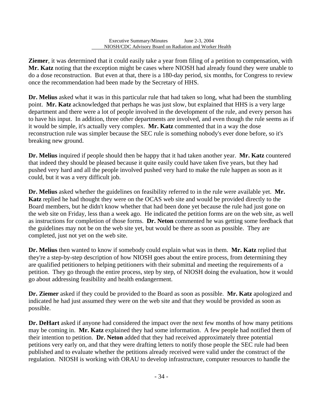l

**Ziemer**, it was determined that it could easily take a year from filing of a petition to compensation, with **Mr. Katz** noting that the exception might be cases where NIOSH had already found they were unable to do a dose reconstruction. But even at that, there is a 180-day period, six months, for Congress to review once the recommendation had been made by the Secretary of HHS.

**Dr. Melius** asked what it was in this particular rule that had taken so long, what had been the stumbling point. **Mr. Katz** acknowledged that perhaps he was just slow, but explained that HHS is a very large department and there were a lot of people involved in the development of the rule, and every person has to have his input. In addition, three other departments are involved, and even though the rule seems as if it would be simple, it's actually very complex. **Mr. Katz** commented that in a way the dose reconstruction rule was simpler because the SEC rule is something nobody's ever done before, so it's breaking new ground.

**Dr. Melius** inquired if people should then be happy that it had taken another year. **Mr. Katz** countered that indeed they should be pleased because it quite easily could have taken five years, but they had pushed very hard and all the people involved pushed very hard to make the rule happen as soon as it could, but it was a very difficult job.

**Dr. Melius** asked whether the guidelines on feasibility referred to in the rule were available yet. **Mr. Katz** replied he had thought they were on the OCAS web site and would be provided directly to the Board members, but he didn't know whether that had been done yet because the rule had just gone on the web site on Friday, less than a week ago. He indicated the petition forms are on the web site, as well as instructions for completion of those forms. **Dr. Neton** commented he was getting some feedback that the guidelines may not be on the web site yet, but would be there as soon as possible. They are completed, just not yet on the web site.

**Dr. Melius** then wanted to know if somebody could explain what was in them. **Mr. Katz** replied that they're a step-by-step description of how NIOSH goes about the entire process, from determining they are qualified petitioners to helping petitioners with their submittal and meeting the requirements of a petition. They go through the entire process, step by step, of NIOSH doing the evaluation, how it would go about addressing feasibility and health endangerment.

**Dr. Ziemer** asked if they could be provided to the Board as soon as possible. **Mr. Katz** apologized and indicated he had just assumed they were on the web site and that they would be provided as soon as possible.

**Dr. DeHart** asked if anyone had considered the impact over the next few months of how many petitions may be coming in. **Mr. Katz** explained they had some information. A few people had notified them of their intention to petition. **Dr. Neton** added that they had received approximately three potential petitions very early on, and that they were drafting letters to notify those people the SEC rule had been published and to evaluate whether the petitions already received were valid under the construct of the regulation. NIOSH is working with ORAU to develop infrastructure, computer resources to handle the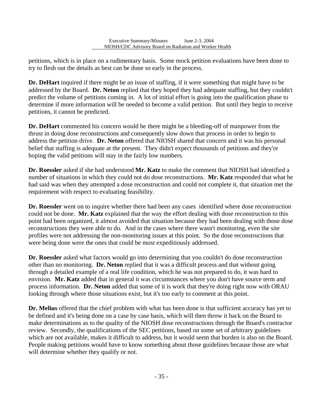petitions, which is in place on a rudimentary basis. Some mock petition evaluations have been done to try to flesh out the details as best can be done so early in the process.

l

**Dr. DeHart** inquired if there might be an issue of staffing, if it were something that might have to be addressed by the Board. **Dr. Neton** replied that they hoped they had adequate staffing, but they couldn't predict the volume of petitions coming in. A lot of initial effort is going into the qualification phase to determine if more information will be needed to become a valid petition. But until they begin to receive petitions, it cannot be predicted.

**Dr. DeHart** commented his concern would be there might be a bleeding-off of manpower from the thrust in doing dose reconstructions and consequently slow down that process in order to begin to address the petition drive. **Dr. Neton** offered that NIOSH shared that concern and it was his personal belief that staffing is adequate at the present. They didn't expect thousands of petitions and they're hoping the valid petitions will stay in the fairly low numbers.

**Dr. Roessler** asked if she had understood **Mr. Katz** to make the comment that NIOSH had identified a number of situations in which they could not do dose reconstructions. **Mr. Katz** responded that what he had said was when they attempted a dose reconstruction and could not complete it, that situation met the requirement with respect to evaluating feasibility.

**Dr. Roessler** went on to inquire whether there had been any cases identified where dose reconstruction could not be done. **Mr. Katz** explained that the way the effort dealing with dose reconstruction to this point had been organized, it almost avoided that situation because they had been dealing with those dose reconstructions they were able to do. And in the cases where there wasn't monitoring, even the site profiles were not addressing the non-monitoring issues at this point. So the dose reconstructions that were being done were the ones that could be most expeditiously addressed.

**Dr. Roessler** asked what factors would go into determining that you couldn't do dose reconstruction other than no monitoring. **Dr. Neton** replied that it was a difficult process and that without going through a detailed example of a real life condition, which he was not prepared to do, it was hard to envision. **Mr. Katz** added that in general it was circumstances where you don't have source term and process information. **Dr. Neton** added that some of it is work that they're doing right now with ORAU looking through where those situations exist, but it's too early to comment at this point.

**Dr. Melius** offered that the chief problem with what has been done is that sufficient accuracy has yet to be defined and it's being done on a case by case basis, which will then throw it back on the Board to make determinations as to the quality of the NIOSH dose reconstructions through the Board's contractor review. Secondly, the qualifications of the SEC petitions, based on some set of arbitrary guidelines which are not available, makes it difficult to address, but it would seem that burden is also on the Board. People making petitions would have to know something about those guidelines because those are what will determine whether they qualify or not.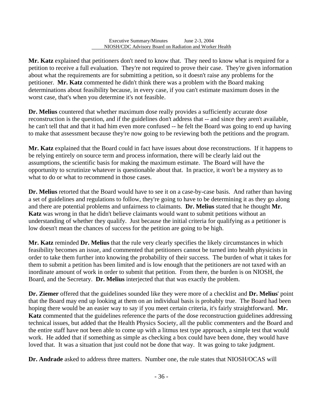l

**Mr. Katz** explained that petitioners don't need to know that. They need to know what is required for a petition to receive a full evaluation. They're not required to prove their case. They're given information about what the requirements are for submitting a petition, so it doesn't raise any problems for the petitioner. **Mr. Katz** commented he didn't think there was a problem with the Board making determinations about feasibility because, in every case, if you can't estimate maximum doses in the worst case, that's when you determine it's not feasible.

**Dr. Melius** countered that whether maximum dose really provides a sufficiently accurate dose reconstruction is the question, and if the guidelines don't address that -- and since they aren't available, he can't tell that and that it had him even more confused -- he felt the Board was going to end up having to make that assessment because they're now going to be reviewing both the petitions and the program.

**Mr. Katz** explained that the Board could in fact have issues about dose reconstructions. If it happens to be relying entirely on source term and process information, there will be clearly laid out the assumptions, the scientific basis for making the maximum estimate. The Board will have the opportunity to scrutinize whatever is questionable about that. In practice, it won't be a mystery as to what to do or what to recommend in those cases.

**Dr. Melius** retorted that the Board would have to see it on a case-by-case basis. And rather than having a set of guidelines and regulations to follow, they're going to have to be determining it as they go along and there are potential problems and unfairness to claimants. **Dr. Melius** stated that he thought **Mr. Katz** was wrong in that he didn't believe claimants would want to submit petitions without an understanding of whether they qualify. Just because the initial criteria for qualifying as a petitioner is low doesn't mean the chances of success for the petition are going to be high.

**Mr. Katz** reminded **Dr. Melius** that the rule very clearly specifies the likely circumstances in which feasibility becomes an issue, and commented that petitioners cannot be turned into health physicists in order to take them further into knowing the probability of their success. The burden of what it takes for them to submit a petition has been limited and is low enough that the petitioners are not taxed with an inordinate amount of work in order to submit that petition. From there, the burden is on NIOSH, the Board, and the Secretary. **Dr. Melius** interjected that that was exactly the problem.

**Dr. Ziemer** offered that the guidelines sounded like they were more of a checklist and **Dr. Melius**' point that the Board may end up looking at them on an individual basis is probably true. The Board had been hoping there would be an easier way to say if you meet certain criteria, it's fairly straightforward. **Mr. Katz** commented that the guidelines reference the parts of the dose reconstruction guidelines addressing technical issues, but added that the Health Physics Society, all the public commenters and the Board and the entire staff have not been able to come up with a litmus test type approach, a simple test that would work. He added that if something as simple as checking a box could have been done, they would have loved that. It was a situation that just could not be done that way. It was going to take judgment.

**Dr. Andrade** asked to address three matters. Number one, the rule states that NIOSH/OCAS will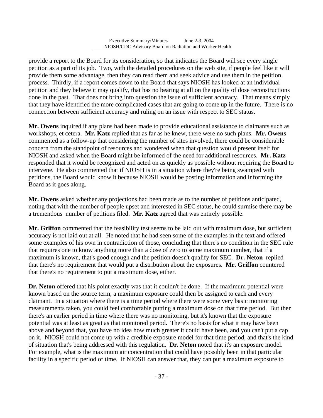l

provide a report to the Board for its consideration, so that indicates the Board will see every single petition as a part of its job. Two, with the detailed procedures on the web site, if people feel like it will provide them some advantage, then they can read them and seek advice and use them in the petition process. Thirdly, if a report comes down to the Board that says NIOSH has looked at an individual petition and they believe it may qualify, that has no bearing at all on the quality of dose reconstructions done in the past. That does not bring into question the issue of sufficient accuracy. That means simply that they have identified the more complicated cases that are going to come up in the future. There is no connection between sufficient accuracy and ruling on an issue with respect to SEC status.

**Mr. Owens** inquired if any plans had been made to provide educational assistance to claimants such as workshops, et cetera. **Mr. Katz** replied that as far as he knew, there were no such plans. **Mr. Owens**  commented as a follow-up that considering the number of sites involved, there could be considerable concern from the standpoint of resources and wondered when that question would present itself for NIOSH and asked when the Board might be informed of the need for additional resources. **Mr. Katz**  responded that it would be recognized and acted on as quickly as possible without requiring the Board to intervene. He also commented that if NIOSH is in a situation where they're being swamped with petitions, the Board would know it because NIOSH would be posting information and informing the Board as it goes along.

**Mr. Owens** asked whether any projections had been made as to the number of petitions anticipated, noting that with the number of people upset and interested in SEC status, he could surmise there may be a tremendous number of petitions filed. **Mr. Katz** agreed that was entirely possible.

**Mr. Griffon** commented that the feasibility test seems to be laid out with maximum dose, but sufficient accuracy is not laid out at all. He noted that he had seen some of the examples in the text and offered some examples of his own in contradiction of those, concluding that there's no condition in the SEC rule that requires one to know anything more than a dose of zero to some maximum number, that if a maximum is known, that's good enough and the petition doesn't qualify for SEC. **Dr. Neton** replied that there's no requirement that would put a distribution about the exposures. **Mr. Griffon** countered that there's no requirement to put a maximum dose, either.

**Dr. Neton** offered that his point exactly was that it couldn't be done. If the maximum potential were known based on the source term, a maximum exposure could then be assigned to each and every claimant. In a situation where there is a time period where there were some very basic monitoring measurements taken, you could feel comfortable putting a maximum dose on that time period. But then there's an earlier period in time where there was no monitoring, but it's known that the exposure potential was at least as great as that monitored period. There's no basis for what it may have been above and beyond that, you have no idea how much greater it could have been, and you can't put a cap on it. NIOSH could not come up with a credible exposure model for that time period, and that's the kind of situation that's being addressed with this regulation. **Dr. Neton** noted that it's an exposure model. For example, what is the maximum air concentration that could have possibly been in that particular facility in a specific period of time. If NIOSH can answer that, they can put a maximum exposure to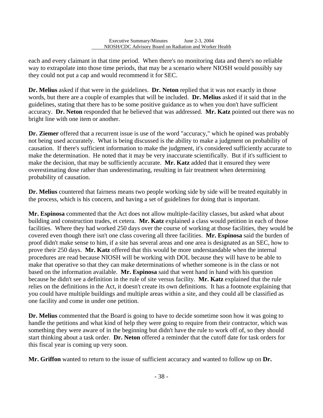each and every claimant in that time period. When there's no monitoring data and there's no reliable way to extrapolate into those time periods, that may be a scenario where NIOSH would possibly say they could not put a cap and would recommend it for SEC.

l

**Dr. Melius** asked if that were in the guidelines. **Dr. Neton** replied that it was not exactly in those words, but there are a couple of examples that will be included. **Dr. Melius** asked if it said that in the guidelines, stating that there has to be some positive guidance as to when you don't have sufficient accuracy. **Dr. Neton** responded that he believed that was addressed. **Mr. Katz** pointed out there was no bright line with one item or another.

**Dr. Ziemer** offered that a recurrent issue is use of the word "accuracy," which he opined was probably not being used accurately. What is being discussed is the ability to make a judgment on probability of causation. If there's sufficient information to make the judgment, it's considered sufficiently accurate to make the determination. He noted that it may be very inaccurate scientifically. But if it's sufficient to make the decision, that may be sufficiently accurate. **Mr. Katz** added that it ensured they were overestimating dose rather than underestimating, resulting in fair treatment when determining probability of causation.

**Dr. Melius** countered that fairness means two people working side by side will be treated equitably in the process, which is his concern, and having a set of guidelines for doing that is important.

**Mr. Espinosa** commented that the Act does not allow multiple-facility classes, but asked what about building and construction trades, et cetera. **Mr. Katz** explained a class would petition in each of those facilities. Where they had worked 250 days over the course of working at those facilities, they would be covered even though there isn't one class covering all three facilities. **Mr. Espinosa** said the burden of proof didn't make sense to him, if a site has several areas and one area is designated as an SEC, how to prove their 250 days. **Mr. Katz** offered that this would be more understandable when the internal procedures are read because NIOSH will be working with DOL because they will have to be able to make that operative so that they can make determinations of whether someone is in the class or not based on the information available. **Mr. Espinosa** said that went hand in hand with his question because he didn't see a definition in the rule of site versus facility. **Mr. Katz** explained that the rule relies on the definitions in the Act, it doesn't create its own definitions. It has a footnote explaining that you could have multiple buildings and multiple areas within a site, and they could all be classified as one facility and come in under one petition.

**Dr. Melius** commented that the Board is going to have to decide sometime soon how it was going to handle the petitions and what kind of help they were going to require from their contractor, which was something they were aware of in the beginning but didn't have the rule to work off of, so they should start thinking about a task order. **Dr. Neton** offered a reminder that the cutoff date for task orders for this fiscal year is coming up very soon.

**Mr. Griffon** wanted to return to the issue of sufficient accuracy and wanted to follow up on **Dr.**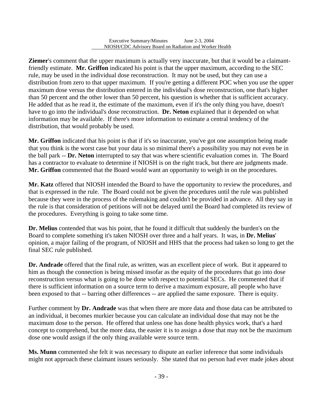l

**Ziemer**'s comment that the upper maximum is actually very inaccurate, but that it would be a claimantfriendly estimate. **Mr. Griffon** indicated his point is that the upper maximum, according to the SEC rule, may be used in the individual dose reconstruction. It may not be used, but they can use a distribution from zero to that upper maximum. If you're getting a different POC when you use the upper maximum dose versus the distribution entered in the individual's dose reconstruction, one that's higher than 50 percent and the other lower than 50 percent, his question is whether that is sufficient accuracy. He added that as he read it, the estimate of the maximum, even if it's the only thing you have, doesn't have to go into the individual's dose reconstruction. **Dr. Neton** explained that it depended on what information may be available. If there's more information to estimate a central tendency of the distribution, that would probably be used.

**Mr. Griffon** indicated that his point is that if it's so inaccurate, you've got one assumption being made that you think is the worst case but your data is so minimal there's a possibility you may not even be in the ball park -- **Dr. Neton** interrupted to say that was where scientific evaluation comes in. The Board has a contractor to evaluate to determine if NIOSH is on the right track, but there are judgments made. **Mr. Griffon** commented that the Board would want an opportunity to weigh in on the procedures.

**Mr. Katz** offered that NIOSH intended the Board to have the opportunity to review the procedures, and that is expressed in the rule. The Board could not be given the procedures until the rule was published because they were in the process of the rulemaking and couldn't be provided in advance. All they say in the rule is that consideration of petitions will not be delayed until the Board had completed its review of the procedures. Everything is going to take some time.

**Dr. Melius** contended that was his point, that he found it difficult that suddenly the burden's on the Board to complete something it's taken NIOSH over three and a half years. It was, in **Dr. Melius**' opinion, a major failing of the program, of NIOSH and HHS that the process had taken so long to get the final SEC rule published.

**Dr. Andrade** offered that the final rule, as written, was an excellent piece of work. But it appeared to him as though the connection is being missed insofar as the equity of the procedures that go into dose reconstruction versus what is going to be done with respect to potential SECs. He commented that if there is sufficient information on a source term to derive a maximum exposure, all people who have been exposed to that -- barring other differences -- are applied the same exposure. There is equity.

Further comment by **Dr. Andrade** was that when there are more data and those data can be attributed to an individual, it becomes murkier because you can calculate an individual dose that may not be the maximum dose to the person. He offered that unless one has done health physics work, that's a hard concept to comprehend, but the more data, the easier it is to assign a dose that may not be the maximum dose one would assign if the only thing available were source term.

**Ms. Munn** commented she felt it was necessary to dispute an earlier inference that some individuals might not approach these claimant issues seriously. She stated that no person had ever made jokes about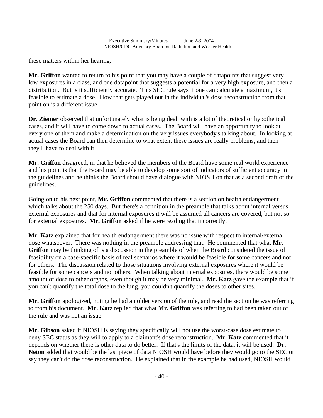these matters within her hearing.

l

**Mr. Griffon** wanted to return to his point that you may have a couple of datapoints that suggest very low exposures in a class, and one datapoint that suggests a potential for a very high exposure, and then a distribution. But is it sufficiently accurate. This SEC rule says if one can calculate a maximum, it's feasible to estimate a dose. How that gets played out in the individual's dose reconstruction from that point on is a different issue.

**Dr. Ziemer** observed that unfortunately what is being dealt with is a lot of theoretical or hypothetical cases, and it will have to come down to actual cases. The Board will have an opportunity to look at every one of them and make a determination on the very issues everybody's talking about. In looking at actual cases the Board can then determine to what extent these issues are really problems, and then they'll have to deal with it.

**Mr. Griffon** disagreed, in that he believed the members of the Board have some real world experience and his point is that the Board may be able to develop some sort of indicators of sufficient accuracy in the guidelines and he thinks the Board should have dialogue with NIOSH on that as a second draft of the guidelines.

Going on to his next point, **Mr. Griffon** commented that there is a section on health endangerment which talks about the 250 days. But there's a condition in the preamble that talks about internal versus external exposures and that for internal exposures it will be assumed all cancers are covered, but not so for external exposures. **Mr. Griffon** asked if he were reading that incorrectly.

**Mr. Katz** explained that for health endangerment there was no issue with respect to internal/external dose whatsoever. There was nothing in the preamble addressing that. He commented that what **Mr. Griffon** may be thinking of is a discussion in the preamble of when the Board considered the issue of feasibility on a case-specific basis of real scenarios where it would be feasible for some cancers and not for others. The discussion related to those situations involving external exposures where it would be feasible for some cancers and not others. When talking about internal exposures, there would be some amount of dose to other organs, even though it may be very minimal. **Mr. Katz** gave the example that if you can't quantify the total dose to the lung, you couldn't quantify the doses to other sites.

**Mr. Griffon** apologized, noting he had an older version of the rule, and read the section he was referring to from his document. **Mr. Katz** replied that what **Mr. Griffon** was referring to had been taken out of the rule and was not an issue.

**Mr. Gibson** asked if NIOSH is saying they specifically will not use the worst-case dose estimate to deny SEC status as they will to apply to a claimant's dose reconstruction. **Mr. Katz** commented that it depends on whether there is other data to do better. If that's the limits of the data, it will be used. **Dr. Neton** added that would be the last piece of data NIOSH would have before they would go to the SEC or say they can't do the dose reconstruction. He explained that in the example he had used, NIOSH would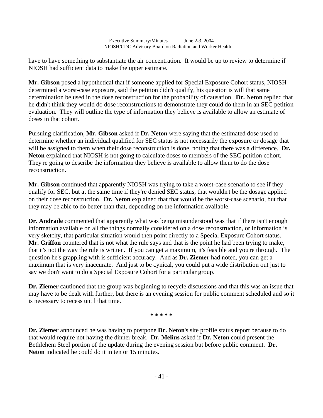have to have something to substantiate the air concentration. It would be up to review to determine if NIOSH had sufficient data to make the upper estimate.

l

**Mr. Gibson** posed a hypothetical that if someone applied for Special Exposure Cohort status, NIOSH determined a worst-case exposure, said the petition didn't qualify, his question is will that same determination be used in the dose reconstruction for the probability of causation. **Dr. Neton** replied that he didn't think they would do dose reconstructions to demonstrate they could do them in an SEC petition evaluation. They will outline the type of information they believe is available to allow an estimate of doses in that cohort.

 will be assigned to them when their dose reconstruction is done, noting that there was a difference. **Dr.**  Pursuing clarification, **Mr. Gibson** asked if **Dr. Neton** were saying that the estimated dose used to determine whether an individual qualified for SEC status is not necessarily the exposure or dosage that **Neton** explained that NIOSH is not going to calculate doses to members of the SEC petition cohort. They're going to describe the information they believe is available to allow them to do the dose reconstruction.

**Mr. Gibson** continued that apparently NIOSH was trying to take a worst-case scenario to see if they qualify for SEC, but at the same time if they're denied SEC status, that wouldn't be the dosage applied on their dose reconstruction. **Dr. Neton** explained that that would be the worst-case scenario, but that they may be able to do better than that, depending on the information available.

**Dr. Andrade** commented that apparently what was being misunderstood was that if there isn't enough information available on all the things normally considered on a dose reconstruction, or information is very sketchy, that particular situation would then point directly to a Special Exposure Cohort status. **Mr. Griffon** countered that is not what the rule says and that is the point he had been trying to make, that it's not the way the rule is written. If you can get a maximum, it's feasible and you're through. The question he's grappling with is sufficient accuracy. And as **Dr. Ziemer** had noted, you can get a maximum that is very inaccurate. And just to be cynical, you could put a wide distribution out just to say we don't want to do a Special Exposure Cohort for a particular group.

**Dr. Ziemer** cautioned that the group was beginning to recycle discussions and that this was an issue that may have to be dealt with further, but there is an evening session for public comment scheduled and so it is necessary to recess until that time.

**\* \* \* \* \*** 

**Dr. Ziemer** announced he was having to postpone **Dr. Neton**'s site profile status report because to do that would require not having the dinner break. **Dr. Melius** asked if **Dr. Neton** could present the Bethlehem Steel portion of the update during the evening session but before public comment. **Dr. Neton** indicated he could do it in ten or 15 minutes.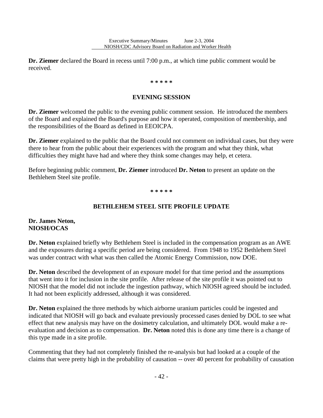**Dr. Ziemer** declared the Board in recess until 7:00 p.m., at which time public comment would be received.

l

#### **\* \* \* \* \***

#### **EVENING SESSION**

**Dr. Ziemer** welcomed the public to the evening public comment session. He introduced the members of the Board and explained the Board's purpose and how it operated, composition of membership, and the responsibilities of the Board as defined in EEOICPA.

**Dr. Ziemer** explained to the public that the Board could not comment on individual cases, but they were there to hear from the public about their experiences with the program and what they think, what difficulties they might have had and where they think some changes may help, et cetera.

Before beginning public comment, **Dr. Ziemer** introduced **Dr. Neton** to present an update on the Bethlehem Steel site profile.

**\* \* \* \* \*** 

#### **BETHLEHEM STEEL SITE PROFILE UPDATE**

#### **Dr. James Neton, NIOSH/OCAS**

**Dr. Neton** explained briefly why Bethlehem Steel is included in the compensation program as an AWE and the exposures during a specific period are being considered. From 1948 to 1952 Bethlehem Steel was under contract with what was then called the Atomic Energy Commission, now DOE.

**Dr. Neton** described the development of an exposure model for that time period and the assumptions that went into it for inclusion in the site profile. After release of the site profile it was pointed out to NIOSH that the model did not include the ingestion pathway, which NIOSH agreed should be included. It had not been explicitly addressed, although it was considered.

**Dr. Neton** explained the three methods by which airborne uranium particles could be ingested and indicated that NIOSH will go back and evaluate previously processed cases denied by DOL to see what effect that new analysis may have on the dosimetry calculation, and ultimately DOL would make a reevaluation and decision as to compensation. **Dr. Neton** noted this is done any time there is a change of this type made in a site profile.

Commenting that they had not completely finished the re-analysis but had looked at a couple of the claims that were pretty high in the probability of causation -- over 40 percent for probability of causation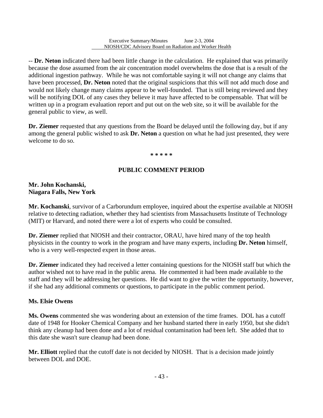-- **Dr. Neton** indicated there had been little change in the calculation. He explained that was primarily because the dose assumed from the air concentration model overwhelms the dose that is a result of the additional ingestion pathway. While he was not comfortable saying it will not change any claims that have been processed, **Dr. Neton** noted that the original suspicions that this will not add much dose and would not likely change many claims appear to be well-founded. That is still being reviewed and they will be notifying DOL of any cases they believe it may have affected to be compensable. That will be written up in a program evaluation report and put out on the web site, so it will be available for the general public to view, as well.

**Dr. Ziemer** requested that any questions from the Board be delayed until the following day, but if any among the general public wished to ask **Dr. Neton** a question on what he had just presented, they were welcome to do so.

#### **\* \* \* \* \***

#### **PUBLIC COMMENT PERIOD**

#### **Mr. John Kochanski, Niagara Falls, New York**

l

**Mr. Kochanski**, survivor of a Carborundum employee, inquired about the expertise available at NIOSH relative to detecting radiation, whether they had scientists from Massachusetts Institute of Technology (MIT) or Harvard, and noted there were a lot of experts who could be consulted.

**Dr. Ziemer** replied that NIOSH and their contractor, ORAU, have hired many of the top health physicists in the country to work in the program and have many experts, including **Dr. Neton** himself, who is a very well-respected expert in those areas.

**Dr. Ziemer** indicated they had received a letter containing questions for the NIOSH staff but which the author wished not to have read in the public arena. He commented it had been made available to the staff and they will be addressing her questions. He did want to give the writer the opportunity, however, if she had any additional comments or questions, to participate in the public comment period.

#### **Ms. Elsie Owens**

**Ms. Owens** commented she was wondering about an extension of the time frames. DOL has a cutoff date of 1948 for Hooker Chemical Company and her husband started there in early 1950, but she didn't think any cleanup had been done and a lot of residual contamination had been left. She added that to this date she wasn't sure cleanup had been done.

**Mr. Elliott** replied that the cutoff date is not decided by NIOSH. That is a decision made jointly between DOL and DOE.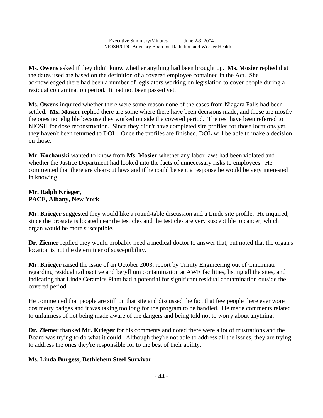**Ms. Owens** asked if they didn't know whether anything had been brought up. **Ms. Mosier** replied that the dates used are based on the definition of a covered employee contained in the Act. She acknowledged there had been a number of legislators working on legislation to cover people during a residual contamination period. It had not been passed yet.

**Ms. Owens** inquired whether there were some reason none of the cases from Niagara Falls had been settled. **Ms. Mosier** replied there are some where there have been decisions made, and those are mostly the ones not eligible because they worked outside the covered period. The rest have been referred to NIOSH for dose reconstruction. Since they didn't have completed site profiles for those locations yet, they haven't been returned to DOL. Once the profiles are finished, DOL will be able to make a decision on those.

**Mr. Kochanski** wanted to know from **Ms. Mosier** whether any labor laws had been violated and whether the Justice Department had looked into the facts of unnecessary risks to employees. He commented that there are clear-cut laws and if he could be sent a response he would be very interested in knowing.

### **Mr. Ralph Krieger, PACE, Albany, New York**

l

**Mr. Krieger** suggested they would like a round-table discussion and a Linde site profile. He inquired, since the prostate is located near the testicles and the testicles are very susceptible to cancer, which organ would be more susceptible.

**Dr. Ziemer** replied they would probably need a medical doctor to answer that, but noted that the organ's location is not the determiner of susceptibility.

**Mr. Krieger** raised the issue of an October 2003, report by Trinity Engineering out of Cincinnati regarding residual radioactive and beryllium contamination at AWE facilities, listing all the sites, and indicating that Linde Ceramics Plant had a potential for significant residual contamination outside the covered period.

He commented that people are still on that site and discussed the fact that few people there ever wore dosimetry badges and it was taking too long for the program to be handled. He made comments related to unfairness of not being made aware of the dangers and being told not to worry about anything.

**Dr. Ziemer** thanked **Mr. Krieger** for his comments and noted there were a lot of frustrations and the Board was trying to do what it could. Although they're not able to address all the issues, they are trying to address the ones they're responsible for to the best of their ability.

## **Ms. Linda Burgess, Bethlehem Steel Survivor**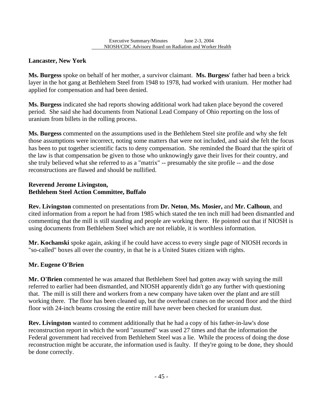## **Lancaster, New York**

**Ms. Burgess** spoke on behalf of her mother, a survivor claimant. **Ms. Burgess**' father had been a brick layer in the hot gang at Bethlehem Steel from 1948 to 1978, had worked with uranium. Her mother had applied for compensation and had been denied.

**Ms. Burgess** indicated she had reports showing additional work had taken place beyond the covered period. She said she had documents from National Lead Company of Ohio reporting on the loss of uranium from billets in the rolling process.

**Ms. Burgess** commented on the assumptions used in the Bethlehem Steel site profile and why she felt those assumptions were incorrect, noting some matters that were not included, and said she felt the focus has been to put together scientific facts to deny compensation. She reminded the Board that the spirit of the law is that compensation be given to those who unknowingly gave their lives for their country, and she truly believed what she referred to as a "matrix" -- presumably the site profile -- and the dose reconstructions are flawed and should be nullified.

### **Reverend Jerome Livingston, Bethlehem Steel Action Committee, Buffalo**

l

**Rev. Livingston** commented on presentations from **Dr. Neton**, **Ms. Mosier,** and **Mr. Calhoun**, and cited information from a report he had from 1985 which stated the ten inch mill had been dismantled and commenting that the mill is still standing and people are working there. He pointed out that if NIOSH is using documents from Bethlehem Steel which are not reliable, it is worthless information.

**Mr. Kochanski** spoke again, asking if he could have access to every single page of NIOSH records in "so-called" boxes all over the country, in that he is a United States citizen with rights.

### **Mr. Eugene O'Brien**

**Mr. O'Brien** commented he was amazed that Bethlehem Steel had gotten away with saying the mill referred to earlier had been dismantled, and NIOSH apparently didn't go any further with questioning that. The mill is still there and workers from a new company have taken over the plant and are still working there. The floor has been cleaned up, but the overhead cranes on the second floor and the third floor with 24-inch beams crossing the entire mill have never been checked for uranium dust.

**Rev. Livingston** wanted to comment additionally that he had a copy of his father-in-law's dose reconstruction report in which the word "assumed" was used 27 times and that the information the Federal government had received from Bethlehem Steel was a lie. While the process of doing the dose reconstruction might be accurate, the information used is faulty. If they're going to be done, they should be done correctly.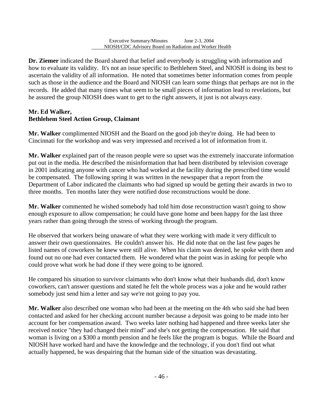**Dr. Ziemer** indicated the Board shared that belief and everybody is struggling with information and how to evaluate its validity. It's not an issue specific to Bethlehem Steel, and NIOSH is doing its best to ascertain the validity of all information. He noted that sometimes better information comes from people such as those in the audience and the Board and NIOSH can learn some things that perhaps are not in the records. He added that many times what seem to be small pieces of information lead to revelations, but he assured the group NIOSH does want to get to the right answers, it just is not always easy.

### **Mr. Ed Walker, Bethlehem Steel Action Group, Claimant**

l

**Mr. Walker** complimented NIOSH and the Board on the good job they're doing. He had been to Cincinnati for the workshop and was very impressed and received a lot of information from it.

**Mr. Walker** explained part of the reason people were so upset was the extremely inaccurate information put out in the media. He described the misinformation that had been distributed by television coverage in 2001 indicating anyone with cancer who had worked at the facility during the prescribed time would be compensated. The following spring it was written in the newspaper that a report from the Department of Labor indicated the claimants who had signed up would be getting their awards in two to three months. Ten months later they were notified dose reconstructions would be done.

**Mr. Walker** commented he wished somebody had told him dose reconstruction wasn't going to show enough exposure to allow compensation; he could have gone home and been happy for the last three years rather than going through the stress of working through the program.

He observed that workers being unaware of what they were working with made it very difficult to answer their own questionnaires. He couldn't answer his. He did note that on the last few pages he listed names of coworkers he knew were still alive. When his claim was denied, he spoke with them and found out no one had ever contacted them. He wondered what the point was in asking for people who could prove what work he had done if they were going to be ignored.

He compared his situation to survivor claimants who don't know what their husbands did, don't know coworkers, can't answer questions and stated he felt the whole process was a joke and he would rather somebody just send him a letter and say we're not going to pay you.

**Mr. Walker** also described one woman who had been at the meeting on the 4th who said she had been contacted and asked for her checking account number because a deposit was going to be made into her account for her compensation award. Two weeks later nothing had happened and three weeks later she received notice "they had changed their mind" and she's not getting the compensation. He said that woman is living on a \$300 a month pension and he feels like the program is bogus. While the Board and NIOSH have worked hard and have the knowledge and the technology, if you don't find out what actually happened, he was despairing that the human side of the situation was devastating.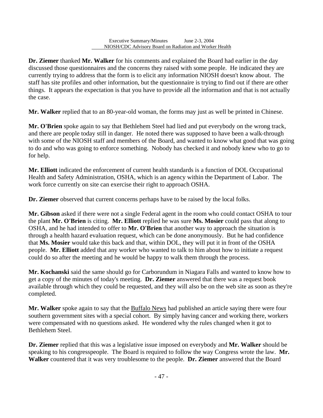**Dr. Ziemer** thanked **Mr. Walker** for his comments and explained the Board had earlier in the day discussed those questionnaires and the concerns they raised with some people. He indicated they are currently trying to address that the form is to elicit any information NIOSH doesn't know about. The staff has site profiles and other information, but the questionnaire is trying to find out if there are other things. It appears the expectation is that you have to provide all the information and that is not actually the case.

l

**Mr. Walker** replied that to an 80-year-old woman, the forms may just as well be printed in Chinese.

**Mr. O'Brien** spoke again to say that Bethlehem Steel had lied and put everybody on the wrong track, and there are people today still in danger. He noted there was supposed to have been a walk-through with some of the NIOSH staff and members of the Board, and wanted to know what good that was going to do and who was going to enforce something. Nobody has checked it and nobody knew who to go to for help.

**Mr. Elliott** indicated the enforcement of current health standards is a function of DOL Occupational Health and Safety Administration, OSHA, which is an agency within the Department of Labor. The work force currently on site can exercise their right to approach OSHA.

**Dr. Ziemer** observed that current concerns perhaps have to be raised by the local folks.

**Mr. Gibson** asked if there were not a single Federal agent in the room who could contact OSHA to tour the plant **Mr. O'Brien** is citing. **Mr. Elliott** replied he was sure **Ms. Mosier** could pass that along to OSHA, and he had intended to offer to **Mr. O'Brien** that another way to approach the situation is through a health hazard evaluation request, which can be done anonymously. But he had confidence that **Ms. Mosier** would take this back and that, within DOL, they will put it in front of the OSHA people. **Mr. Elliott** added that any worker who wanted to talk to him about how to initiate a request could do so after the meeting and he would be happy to walk them through the process.

**Mr. Kochanski** said the same should go for Carborundum in Niagara Falls and wanted to know how to get a copy of the minutes of today's meeting. **Dr. Ziemer** answered that there was a request book available through which they could be requested, and they will also be on the web site as soon as they're completed.

**Mr. Walker** spoke again to say that the Buffalo News had published an article saying there were four southern government sites with a special cohort. By simply having cancer and working there, workers were compensated with no questions asked. He wondered why the rules changed when it got to Bethlehem Steel.

**Dr. Ziemer** replied that this was a legislative issue imposed on everybody and **Mr. Walker** should be speaking to his congresspeople. The Board is required to follow the way Congress wrote the law. **Mr. Walker** countered that it was very troublesome to the people. **Dr. Ziemer** answered that the Board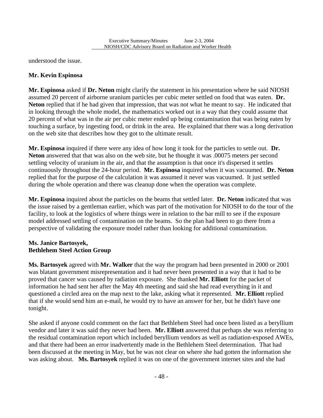understood the issue.

l

### **Mr. Kevin Espinosa**

**Mr. Espinosa** asked if **Dr. Neton** might clarify the statement in his presentation where he said NIOSH assumed 20 percent of airborne uranium particles per cubic meter settled on food that was eaten. **Dr. Neton** replied that if he had given that impression, that was not what he meant to say. He indicated that in looking through the whole model, the mathematics worked out in a way that they could assume that 20 percent of what was in the air per cubic meter ended up being contamination that was being eaten by touching a surface, by ingesting food, or drink in the area. He explained that there was a long derivation on the web site that describes how they got to the ultimate result.

**Mr. Espinosa** inquired if there were any idea of how long it took for the particles to settle out. **Dr. Neton** answered that that was also on the web site, but he thought it was .00075 meters per second settling velocity of uranium in the air, and that the assumption is that once it's dispersed it settles continuously throughout the 24-hour period. **Mr. Espinosa** inquired when it was vacuumed. **Dr. Neton**  replied that for the purpose of the calculation it was assumed it never was vacuumed. It just settled during the whole operation and there was cleanup done when the operation was complete.

**Mr. Espinosa** inquired about the particles on the beams that settled later. **Dr. Neton** indicated that was the issue raised by a gentleman earlier, which was part of the motivation for NIOSH to do the tour of the facility, to look at the logistics of where things were in relation to the bar mill to see if the exposure model addressed settling of contamination on the beams. So the plan had been to go there from a perspective of validating the exposure model rather than looking for additional contamination.

### **Ms. Janice Bartosyek, Bethlehem Steel Action Group**

**Ms. Bartosyek** agreed with **Mr. Walker** that the way the program had been presented in 2000 or 2001 was blatant government misrepresentation and it had never been presented in a way that it had to be proved that cancer was caused by radiation exposure. She thanked **Mr. Elliott** for the packet of information he had sent her after the May 4th meeting and said she had read everything in it and questioned a circled area on the map next to the lake, asking what it represented. **Mr. Elliott** replied that if she would send him an e-mail, he would try to have an answer for her, but he didn't have one tonight.

She asked if anyone could comment on the fact that Bethlehem Steel had once been listed as a beryllium vendor and later it was said they never had been. **Mr. Elliott** answered that perhaps she was referring to the residual contamination report which included beryllium vendors as well as radiation-exposed AWEs, and that there had been an error inadvertently made in the Bethlehem Steel determination. That had been discussed at the meeting in May, but he was not clear on where she had gotten the information she was asking about. **Ms. Bartosyek** replied it was on one of the government internet sites and she had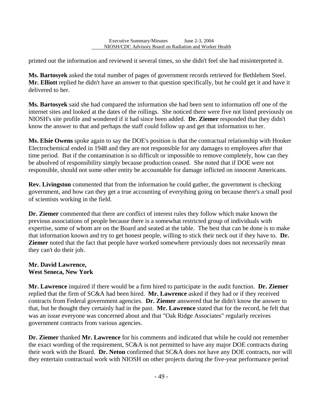printed out the information and reviewed it several times, so she didn't feel she had misinterpreted it.

l

**Ms. Bartosyek** asked the total number of pages of government records retrieved for Bethlehem Steel. **Mr. Elliott** replied he didn't have an answer to that question specifically, but he could get it and have it delivered to her.

**Ms. Bartosyek** said she had compared the information she had been sent to information off one of the internet sites and looked at the dates of the rollings. She noticed there were five not listed previously on NIOSH's site profile and wondered if it had since been added. **Dr. Ziemer** responded that they didn't know the answer to that and perhaps the staff could follow up and get that information to her.

**Ms. Elsie Owens** spoke again to say the DOE's position is that the contractual relationship with Hooker Electrochemical ended in 1948 and they are not responsible for any damages to employees after that time period. But if the contamination is so difficult or impossible to remove completely, how can they be absolved of responsibility simply because production ceased. She noted that if DOE were not responsible, should not some other entity be accountable for damage inflicted on innocent Americans.

**Rev. Livingston** commented that from the information he could gather, the government is checking government, and how can they get a true accounting of everything going on because there's a small pool of scientists working in the field.

**Dr. Ziemer** commented that there are conflict of interest rules they follow which make known the previous associations of people because there is a somewhat restricted group of individuals with expertise, some of whom are on the Board and seated at the table. The best that can be done is to make that information known and try to get honest people, willing to stick their neck out if they have to. **Dr. Ziemer** noted that the fact that people have worked somewhere previously does not necessarily mean they can't do their job.

### **Mr. David Lawrence, West Seneca, New York**

**Mr. Lawrence** inquired if there would be a firm hired to participate in the audit function. **Dr. Ziemer**  replied that the firm of SC&A had been hired. **Mr. Lawrence** asked if they had or if they received contracts from Federal government agencies. **Dr. Ziemer** answered that he didn't know the answer to that, but he thought they certainly had in the past. **Mr. Lawrence** stated that for the record, he felt that was an issue everyone was concerned about and that "Oak Ridge Associates" regularly receives government contracts from various agencies.

**Dr. Ziemer** thanked **Mr. Lawrence** for his comments and indicated that while he could not remember the exact wording of the requirement, SC&A is not permitted to have any major DOE contracts during their work with the Board. **Dr. Neton** confirmed that SC&A does not have any DOE contracts, nor will they entertain contractual work with NIOSH on other projects during the five-year performance period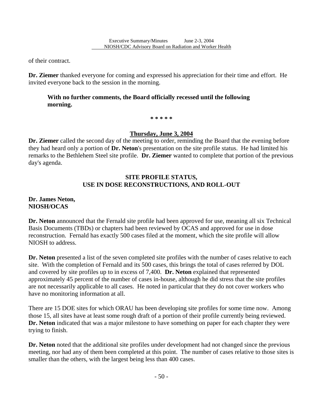of their contract.

l

**Dr. Ziemer** thanked everyone for coming and expressed his appreciation for their time and effort. He invited everyone back to the session in the morning.

### **With no further comments, the Board officially recessed until the following morning.**

**\* \* \* \* \*** 

### **Thursday, June 3, 2004**

**Dr. Ziemer** called the second day of the meeting to order, reminding the Board that the evening before they had heard only a portion of **Dr. Neton**'s presentation on the site profile status. He had limited his remarks to the Bethlehem Steel site profile. **Dr. Ziemer** wanted to complete that portion of the previous day's agenda.

### **SITE PROFILE STATUS, USE IN DOSE RECONSTRUCTIONS, AND ROLL-OUT**

#### **Dr. James Neton, NIOSH/OCAS**

**Dr. Neton** announced that the Fernald site profile had been approved for use, meaning all six Technical Basis Documents (TBDs) or chapters had been reviewed by OCAS and approved for use in dose reconstruction. Fernald has exactly 500 cases filed at the moment, which the site profile will allow NIOSH to address.

**Dr. Neton** presented a list of the seven completed site profiles with the number of cases relative to each site. With the completion of Fernald and its 500 cases, this brings the total of cases referred by DOL and covered by site profiles up to in excess of 7,400. **Dr. Neton** explained that represented approximately 45 percent of the number of cases in-house, although he did stress that the site profiles are not necessarily applicable to all cases. He noted in particular that they do not cover workers who have no monitoring information at all.

There are 15 DOE sites for which ORAU has been developing site profiles for some time now. Among those 15, all sites have at least some rough draft of a portion of their profile currently being reviewed. **Dr. Neton** indicated that was a major milestone to have something on paper for each chapter they were trying to finish.

**Dr. Neton** noted that the additional site profiles under development had not changed since the previous meeting, nor had any of them been completed at this point. The number of cases relative to those sites is smaller than the others, with the largest being less than 400 cases.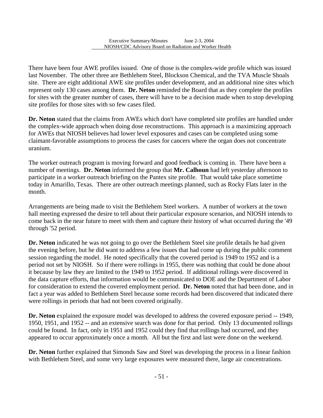l

There have been four AWE profiles issued. One of those is the complex-wide profile which was issued last November. The other three are Bethlehem Steel, Blockson Chemical, and the TVA Muscle Shoals site. There are eight additional AWE site profiles under development, and an additional nine sites which represent only 130 cases among them. **Dr. Neton** reminded the Board that as they complete the profiles for sites with the greater number of cases, there will have to be a decision made when to stop developing site profiles for those sites with so few cases filed.

**Dr. Neton** stated that the claims from AWEs which don't have completed site profiles are handled under the complex-wide approach when doing dose reconstructions. This approach is a maximizing approach for AWEs that NIOSH believes had lower level exposures and cases can be completed using some claimant-favorable assumptions to process the cases for cancers where the organ does not concentrate uranium.

The worker outreach program is moving forward and good feedback is coming in. There have been a number of meetings. **Dr. Neton** informed the group that **Mr. Calhoun** had left yesterday afternoon to participate in a worker outreach briefing on the Pantex site profile. That would take place sometime today in Amarillo, Texas. There are other outreach meetings planned, such as Rocky Flats later in the month.

Arrangements are being made to visit the Bethlehem Steel workers. A number of workers at the town hall meeting expressed the desire to tell about their particular exposure scenarios, and NIOSH intends to come back in the near future to meet with them and capture their history of what occurred during the '49 through '52 period.

**Dr. Neton** indicated he was not going to go over the Bethlehem Steel site profile details he had given the evening before, but he did want to address a few issues that had come up during the public comment session regarding the model. He noted specifically that the covered period is 1949 to 1952 and is a period not set by NIOSH. So if there were rollings in 1955, there was nothing that could be done about it because by law they are limited to the 1949 to 1952 period. If additional rollings were discovered in the data capture efforts, that information would be communicated to DOE and the Department of Labor for consideration to extend the covered employment period. **Dr. Neton** noted that had been done, and in fact a year was added to Bethlehem Steel because some records had been discovered that indicated there were rollings in periods that had not been covered originally.

**Dr. Neton** explained the exposure model was developed to address the covered exposure period -- 1949, 1950, 1951, and 1952 -- and an extensive search was done for that period. Only 13 documented rollings could be found. In fact, only in 1951 and 1952 could they find that rollings had occurred, and they appeared to occur approximately once a month. All but the first and last were done on the weekend.

**Dr. Neton** further explained that Simonds Saw and Steel was developing the process in a linear fashion with Bethlehem Steel, and some very large exposures were measured there, large air concentrations.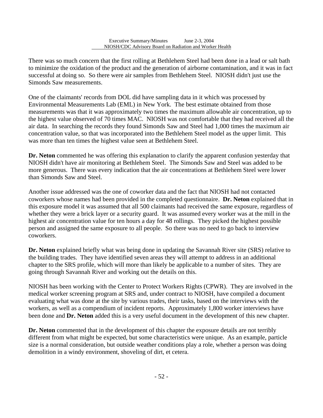There was so much concern that the first rolling at Bethlehem Steel had been done in a lead or salt bath to minimize the oxidation of the product and the generation of airborne contamination, and it was in fact successful at doing so. So there were air samples from Bethlehem Steel. NIOSH didn't just use the Simonds Saw measurements.

l

One of the claimants' records from DOL did have sampling data in it which was processed by Environmental Measurements Lab (EML) in New York. The best estimate obtained from those measurements was that it was approximately two times the maximum allowable air concentration, up to the highest value observed of 70 times MAC. NIOSH was not comfortable that they had received all the air data. In searching the records they found Simonds Saw and Steel had 1,000 times the maximum air concentration value, so that was incorporated into the Bethlehem Steel model as the upper limit. This was more than ten times the highest value seen at Bethlehem Steel.

**Dr. Neton** commented he was offering this explanation to clarify the apparent confusion yesterday that NIOSH didn't have air monitoring at Bethlehem Steel. The Simonds Saw and Steel was added to be more generous. There was every indication that the air concentrations at Bethlehem Steel were lower than Simonds Saw and Steel.

Another issue addressed was the one of coworker data and the fact that NIOSH had not contacted coworkers whose names had been provided in the completed questionnaire. **Dr. Neton** explained that in this exposure model it was assumed that all 500 claimants had received the same exposure, regardless of whether they were a brick layer or a security guard. It was assumed every worker was at the mill in the highest air concentration value for ten hours a day for 48 rollings. They picked the highest possible person and assigned the same exposure to all people. So there was no need to go back to interview coworkers.

**Dr. Neton** explained briefly what was being done in updating the Savannah River site (SRS) relative to the building trades. They have identified seven areas they will attempt to address in an additional chapter to the SRS profile, which will more than likely be applicable to a number of sites. They are going through Savannah River and working out the details on this.

NIOSH has been working with the Center to Protect Workers Rights (CPWR). They are involved in the medical worker screening program at SRS and, under contract to NIOSH, have compiled a document evaluating what was done at the site by various trades, their tasks, based on the interviews with the workers, as well as a compendium of incident reports. Approximately 1,800 worker interviews have been done and **Dr. Neton** added this is a very useful document in the development of this new chapter.

**Dr. Neton** commented that in the development of this chapter the exposure details are not terribly different from what might be expected, but some characteristics were unique. As an example, particle size is a normal consideration, but outside weather conditions play a role, whether a person was doing demolition in a windy environment, shoveling of dirt, et cetera.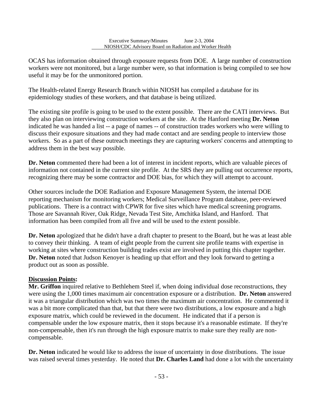OCAS has information obtained through exposure requests from DOE. A large number of construction workers were not monitored, but a large number were, so that information is being compiled to see how useful it may be for the unmonitored portion.

The Health-related Energy Research Branch within NIOSH has compiled a database for its epidemiology studies of these workers, and that database is being utilized.

l

The existing site profile is going to be used to the extent possible. There are the CATI interviews. But they also plan on interviewing construction workers at the site. At the Hanford meeting **Dr. Neton**  indicated he was handed a list -- a page of names -- of construction trades workers who were willing to discuss their exposure situations and they had made contact and are sending people to interview those workers. So as a part of these outreach meetings they are capturing workers' concerns and attempting to address them in the best way possible.

**Dr. Neton** commented there had been a lot of interest in incident reports, which are valuable pieces of information not contained in the current site profile. At the SRS they are pulling out occurrence reports, recognizing there may be some contractor and DOE bias, for which they will attempt to account.

Other sources include the DOE Radiation and Exposure Management System, the internal DOE reporting mechanism for monitoring workers; Medical Surveillance Program database, peer-reviewed publications. There is a contract with CPWR for five sites which have medical screening programs. Those are Savannah River, Oak Ridge, Nevada Test Site, Amchitka Island, and Hanford. That information has been compiled from all five and will be used to the extent possible.

**Dr. Neton** apologized that he didn't have a draft chapter to present to the Board, but he was at least able to convey their thinking. A team of eight people from the current site profile teams with expertise in working at sites where construction building trades exist are involved in putting this chapter together. **Dr. Neton** noted that Judson Kenoyer is heading up that effort and they look forward to getting a product out as soon as possible.

### **Discussion Points:**

**Mr. Griffon** inquired relative to Bethlehem Steel if, when doing individual dose reconstructions, they were using the 1,000 times maximum air concentration exposure or a distribution. **Dr. Neton** answered it was a triangular distribution which was two times the maximum air concentration. He commented it was a bit more complicated than that, but that there were two distributions, a low exposure and a high exposure matrix, which could be reviewed in the document. He indicated that if a person is compensable under the low exposure matrix, then it stops because it's a reasonable estimate. If they're non-compensable, then it's run through the high exposure matrix to make sure they really are noncompensable.

**Dr. Neton** indicated he would like to address the issue of uncertainty in dose distributions. The issue was raised several times yesterday. He noted that **Dr. Charles Land** had done a lot with the uncertainty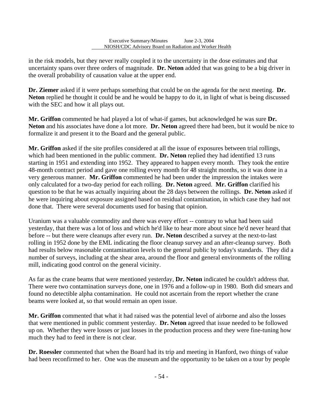in the risk models, but they never really coupled it to the uncertainty in the dose estimates and that uncertainty spans over three orders of magnitude. **Dr. Neton** added that was going to be a big driver in the overall probability of causation value at the upper end.

l

**Dr. Ziemer** asked if it were perhaps something that could be on the agenda for the next meeting. **Dr. Neton** replied he thought it could be and he would be happy to do it, in light of what is being discussed with the SEC and how it all plays out.

**Mr. Griffon** commented he had played a lot of what-if games, but acknowledged he was sure **Dr. Neton** and his associates have done a lot more. **Dr. Neton** agreed there had been, but it would be nice to formalize it and present it to the Board and the general public.

**Mr. Griffon** asked if the site profiles considered at all the issue of exposures between trial rollings, which had been mentioned in the public comment. **Dr. Neton** replied they had identified 13 runs starting in 1951 and extending into 1952. They appeared to happen every month. They took the entire 48-month contract period and gave one rolling every month for 48 straight months, so it was done in a very generous manner. **Mr. Griffon** commented he had been under the impression the intakes were only calculated for a two-day period for each rolling. **Dr. Neton** agreed. **Mr. Griffon** clarified his question to be that he was actually inquiring about the 28 days between the rollings. **Dr. Neton** asked if he were inquiring about exposure assigned based on residual contamination, in which case they had not done that. There were several documents used for basing that opinion.

Uranium was a valuable commodity and there was every effort -- contrary to what had been said yesterday, that there was a lot of loss and which he'd like to hear more about since he'd never heard that before -- but there were cleanups after every run. **Dr. Neton** described a survey at the next-to-last rolling in 1952 done by the EML indicating the floor cleanup survey and an after-cleanup survey. Both had results below reasonable contamination levels to the general public by today's standards. They did a number of surveys, including at the shear area, around the floor and general environments of the rolling mill, indicating good control on the general vicinity.

As far as the crane beams that were mentioned yesterday, **Dr. Neton** indicated he couldn't address that. There were two contamination surveys done, one in 1976 and a follow-up in 1980. Both did smears and found no detectible alpha contamination. He could not ascertain from the report whether the crane beams were looked at, so that would remain an open issue.

**Mr. Griffon** commented that what it had raised was the potential level of airborne and also the losses that were mentioned in public comment yesterday. **Dr. Neton** agreed that issue needed to be followed up on. Whether they were losses or just losses in the production process and they were fine-tuning how much they had to feed in there is not clear.

**Dr. Roessler** commented that when the Board had its trip and meeting in Hanford, two things of value had been reconfirmed to her. One was the museum and the opportunity to be taken on a tour by people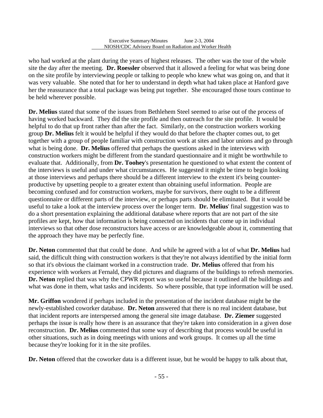l

who had worked at the plant during the years of highest releases. The other was the tour of the whole site the day after the meeting. **Dr. Roessler** observed that it allowed a feeling for what was being done on the site profile by interviewing people or talking to people who knew what was going on, and that it was very valuable. She noted that for her to understand in depth what had taken place at Hanford gave her the reassurance that a total package was being put together. She encouraged those tours continue to be held wherever possible.

**Dr. Melius** stated that some of the issues from Bethlehem Steel seemed to arise out of the process of having worked backward. They did the site profile and then outreach for the site profile. It would be helpful to do that up front rather than after the fact. Similarly, on the construction workers working group **Dr. Melius** felt it would be helpful if they would do that before the chapter comes out, to get together with a group of people familiar with construction work at sites and labor unions and go through what is being done. **Dr. Melius** offered that perhaps the questions asked in the interviews with construction workers might be different from the standard questionnaire and it might be worthwhile to evaluate that. Additionally, from **Dr. Toohey**'s presentation he questioned to what extent the content of the interviews is useful and under what circumstances. He suggested it might be time to begin looking at those interviews and perhaps there should be a different interview to the extent it's being counterproductive by upsetting people to a greater extent than obtaining useful information. People are becoming confused and for construction workers, maybe for survivors, there ought to be a different questionnaire or different parts of the interview, or perhaps parts should be eliminated. But it would be useful to take a look at the interview process over the longer term. **Dr. Melius**' final suggestion was to do a short presentation explaining the additional database where reports that are not part of the site profiles are kept, how that information is being connected on incidents that come up in individual interviews so that other dose reconstructors have access or are knowledgeable about it, commenting that the approach they have may be perfectly fine.

**Dr. Neton** commented that that could be done. And while he agreed with a lot of what **Dr. Melius** had said, the difficult thing with construction workers is that they're not always identified by the initial form so that it's obvious the claimant worked in a construction trade. **Dr. Melius** offered that from his experience with workers at Fernald, they did pictures and diagrams of the buildings to refresh memories. **Dr. Neton** replied that was why the CPWR report was so useful because it outlined all the buildings and what was done in them, what tasks and incidents. So where possible, that type information will be used.

**Mr. Griffon** wondered if perhaps included in the presentation of the incident database might be the newly-established coworker database. **Dr. Neton** answered that there is no real incident database, but that incident reports are interspersed among the general site image database. **Dr. Ziemer** suggested perhaps the issue is really how there is an assurance that they're taken into consideration in a given dose reconstruction. **Dr. Melius** commented that some way of describing that process would be useful in other situations, such as in doing meetings with unions and work groups. It comes up all the time because they're looking for it in the site profiles.

**Dr. Neton** offered that the coworker data is a different issue, but he would be happy to talk about that,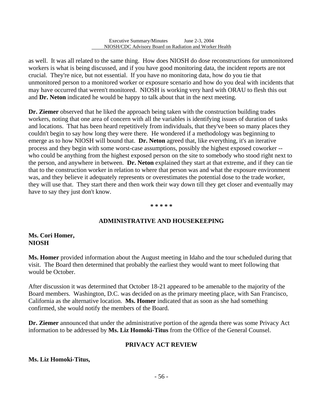l

as well. It was all related to the same thing. How does NIOSH do dose reconstructions for unmonitored workers is what is being discussed, and if you have good monitoring data, the incident reports are not crucial. They're nice, but not essential. If you have no monitoring data, how do you tie that unmonitored person to a monitored worker or exposure scenario and how do you deal with incidents that may have occurred that weren't monitored. NIOSH is working very hard with ORAU to flesh this out and **Dr. Neton** indicated he would be happy to talk about that in the next meeting.

**Dr. Ziemer** observed that he liked the approach being taken with the construction building trades workers, noting that one area of concern with all the variables is identifying issues of duration of tasks and locations. That has been heard repetitively from individuals, that they've been so many places they couldn't begin to say how long they were there. He wondered if a methodology was beginning to emerge as to how NIOSH will bound that. **Dr. Neton** agreed that, like everything, it's an iterative process and they begin with some worst-case assumptions, possibly the highest exposed coworker - who could be anything from the highest exposed person on the site to somebody who stood right next to the person, and anywhere in between. **Dr. Neton** explained they start at that extreme, and if they can tie that to the construction worker in relation to where that person was and what the exposure environment was, and they believe it adequately represents or overestimates the potential dose to the trade worker, they will use that. They start there and then work their way down till they get closer and eventually may have to say they just don't know.

#### **\* \* \* \* \***

#### **ADMINISTRATIVE AND HOUSEKEEPING**

#### **Ms. Cori Homer, NIOSH**

**Ms. Homer** provided information about the August meeting in Idaho and the tour scheduled during that visit. The Board then determined that probably the earliest they would want to meet following that would be October.

 California as the alternative location. **Ms. Homer** indicated that as soon as she had something After discussion it was determined that October 18-21 appeared to be amenable to the majority of the Board members. Washington, D.C. was decided on as the primary meeting place, with San Francisco, confirmed, she would notify the members of the Board.

**Dr. Ziemer** announced that under the administrative portion of the agenda there was some Privacy Act information to be addressed by **Ms. Liz Homoki-Titus** from the Office of the General Counsel.

#### **PRIVACY ACT REVIEW**

#### **Ms. Liz Homoki-Titus,**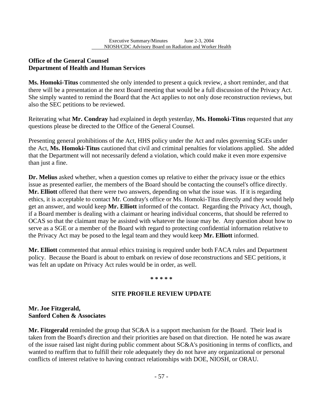### **Office of the General Counsel Department of Health and Human Services**

l

**Ms. Homoki-Titus** commented she only intended to present a quick review, a short reminder, and that there will be a presentation at the next Board meeting that would be a full discussion of the Privacy Act. She simply wanted to remind the Board that the Act applies to not only dose reconstruction reviews, but also the SEC petitions to be reviewed.

Reiterating what **Mr. Condray** had explained in depth yesterday, **Ms. Homoki-Titus** requested that any questions please be directed to the Office of the General Counsel.

Presenting general prohibitions of the Act, HHS policy under the Act and rules governing SGEs under the Act, **Ms. Homoki-Titus** cautioned that civil and criminal penalties for violations applied. She added that the Department will not necessarily defend a violation, which could make it even more expensive than just a fine.

**Dr. Melius** asked whether, when a question comes up relative to either the privacy issue or the ethics issue as presented earlier, the members of the Board should be contacting the counsel's office directly. **Mr. Elliott** offered that there were two answers, depending on what the issue was. If it is regarding ethics, it is acceptable to contact Mr. Condray's office or Ms. Homoki-Titus directly and they would help get an answer, and would keep **Mr. Elliott** informed of the contact. Regarding the Privacy Act, though, if a Board member is dealing with a claimant or hearing individual concerns, that should be referred to OCAS so that the claimant may be assisted with whatever the issue may be. Any question about how to serve as a SGE or a member of the Board with regard to protecting confidential information relative to the Privacy Act may be posed to the legal team and they would keep **Mr. Elliott** informed.

**Mr. Elliott** commented that annual ethics training is required under both FACA rules and Department policy. Because the Board is about to embark on review of dose reconstructions and SEC petitions, it was felt an update on Privacy Act rules would be in order, as well.

#### **\* \* \* \* \***

#### **SITE PROFILE REVIEW UPDATE**

### **Mr. Joe Fitzgerald, Sanford Cohen & Associates**

**Mr. Fitzgerald** reminded the group that SC&A is a support mechanism for the Board. Their lead is taken from the Board's direction and their priorities are based on that direction. He noted he was aware of the issue raised last night during public comment about SC&A's positioning in terms of conflicts, and wanted to reaffirm that to fulfill their role adequately they do not have any organizational or personal conflicts of interest relative to having contract relationships with DOE, NIOSH, or ORAU.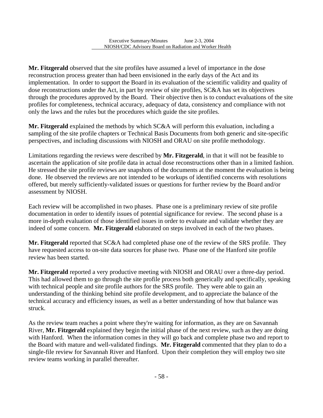l

**Mr. Fitzgerald** observed that the site profiles have assumed a level of importance in the dose reconstruction process greater than had been envisioned in the early days of the Act and its implementation. In order to support the Board in its evaluation of the scientific validity and quality of dose reconstructions under the Act, in part by review of site profiles, SC&A has set its objectives through the procedures approved by the Board. Their objective then is to conduct evaluations of the site profiles for completeness, technical accuracy, adequacy of data, consistency and compliance with not only the laws and the rules but the procedures which guide the site profiles.

**Mr. Fitzgerald** explained the methods by which SC&A will perform this evaluation, including a sampling of the site profile chapters or Technical Basis Documents from both generic and site-specific perspectives, and including discussions with NIOSH and ORAU on site profile methodology.

Limitations regarding the reviews were described by **Mr. Fitzgerald**, in that it will not be feasible to ascertain the application of site profile data in actual dose reconstructions other than in a limited fashion. He stressed the site profile reviews are snapshots of the documents at the moment the evaluation is being done. He observed the reviews are not intended to be workups of identified concerns with resolutions offered, but merely sufficiently-validated issues or questions for further review by the Board and/or assessment by NIOSH.

Each review will be accomplished in two phases. Phase one is a preliminary review of site profile documentation in order to identify issues of potential significance for review. The second phase is a more in-depth evaluation of those identified issues in order to evaluate and validate whether they are indeed of some concern. **Mr. Fitzgerald** elaborated on steps involved in each of the two phases.

**Mr. Fitzgerald** reported that SC&A had completed phase one of the review of the SRS profile. They have requested access to on-site data sources for phase two. Phase one of the Hanford site profile review has been started.

**Mr. Fitzgerald** reported a very productive meeting with NIOSH and ORAU over a three-day period. This had allowed them to go through the site profile process both generically and specifically, speaking with technical people and site profile authors for the SRS profile. They were able to gain an understanding of the thinking behind site profile development, and to appreciate the balance of the technical accuracy and efficiency issues, as well as a better understanding of how that balance was struck.

As the review team reaches a point where they're waiting for information, as they are on Savannah River, **Mr. Fitzgerald** explained they begin the initial phase of the next review, such as they are doing with Hanford. When the information comes in they will go back and complete phase two and report to the Board with mature and well-validated findings. **Mr. Fitzgerald** commented that they plan to do a single-file review for Savannah River and Hanford. Upon their completion they will employ two site review teams working in parallel thereafter.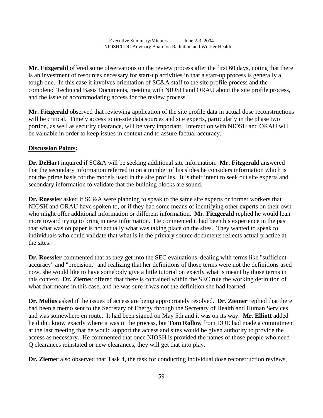**Mr. Fitzgerald** offered some observations on the review process after the first 60 days, noting that there is an investment of resources necessary for start-up activities in that a start-up process is generally a tough one. In this case it involves orientation of SC&A staff to the site profile process and the completed Technical Basis Documents, meeting with NIOSH and ORAU about the site profile process, and the issue of accommodating access for the review process.

**Mr. Fitzgerald** observed that reviewing application of the site profile data in actual dose reconstructions will be critical. Timely access to on-site data sources and site experts, particularly in the phase two portion, as well as security clearance, will be very important. Interaction with NIOSH and ORAU will be valuable in order to keep issues in context and to assure factual accuracy.

### **Discussion Points:**

l

**Dr. DeHart** inquired if SC&A will be seeking additional site information. **Mr. Fitzgerald** answered that the secondary information referred to on a number of his slides he considers information which is not the prime basis for the models used in the site profiles. It is their intent to seek out site experts and secondary information to validate that the building blocks are sound.

**Dr. Roessler** asked if SC&A were planning to speak to the same site experts or former workers that NIOSH and ORAU have spoken to, or if they had some means of identifying other experts on their own who might offer additional information or different information. **Mr. Fitzgerald** replied he would lean more toward trying to bring in new information. He commented it had been his experience in the past that what was on paper is not actually what was taking place on the sites. They wanted to speak to individuals who could validate that what is in the primary source documents reflects actual practice at the sites.

 this context. **Dr. Ziemer** offered that there is contained within the SEC rule the working definition of **Dr. Roessler** commented that as they get into the SEC evaluations, dealing with terms like "sufficient accuracy" and "precision," and realizing that her definitions of those terms were not the definitions used now, she would like to have somebody give a little tutorial on exactly what is meant by those terms in what that means in this case, and he was sure it was not the definition she had learned.

**Dr. Melius** asked if the issues of access are being appropriately resolved. **Dr. Ziemer** replied that there had been a memo sent to the Secretary of Energy through the Secretary of Health and Human Services and was somewhere en route. It had been signed on May 5th and it was on its way. **Mr. Elliott** added he didn't know exactly where it was in the process, but **Tom Rollow** from DOE had made a commitment at the last meeting that he would support the access and sites would be given authority to provide the access as necessary. He commented that once NIOSH is provided the names of those people who need Q clearances reinstated or new clearances, they will get that into play.

**Dr. Ziemer** also observed that Task 4, the task for conducting individual dose reconstruction reviews,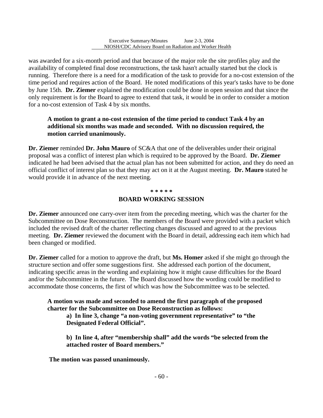was awarded for a six-month period and that because of the major role the site profiles play and the availability of completed final dose reconstructions, the task hasn't actually started but the clock is running. Therefore there is a need for a modification of the task to provide for a no-cost extension of the time period and requires action of the Board. He noted modifications of this year's tasks have to be done by June 15th. **Dr. Ziemer** explained the modification could be done in open session and that since the only requirement is for the Board to agree to extend that task, it would be in order to consider a motion for a no-cost extension of Task 4 by six months.

### **A motion to grant a no-cost extension of the time period to conduct Task 4 by an additional six months was made and seconded. With no discussion required, the motion carried unanimously.**

**Dr. Ziemer** reminded **Dr. John Mauro** of SC&A that one of the deliverables under their original proposal was a conflict of interest plan which is required to be approved by the Board. **Dr. Ziemer**  indicated he had been advised that the actual plan has not been submitted for action, and they do need an official conflict of interest plan so that they may act on it at the August meeting. **Dr. Mauro** stated he would provide it in advance of the next meeting.

#### **\* \* \* \* \***

#### **BOARD WORKING SESSION**

**Dr. Ziemer** announced one carry-over item from the preceding meeting, which was the charter for the Subcommittee on Dose Reconstruction. The members of the Board were provided with a packet which included the revised draft of the charter reflecting changes discussed and agreed to at the previous meeting. **Dr. Ziemer** reviewed the document with the Board in detail, addressing each item which had been changed or modified.

**Dr. Ziemer** called for a motion to approve the draft, but **Ms. Homer** asked if she might go through the structure section and offer some suggestions first. She addressed each portion of the document, indicating specific areas in the wording and explaining how it might cause difficulties for the Board and/or the Subcommittee in the future. The Board discussed how the wording could be modified to accommodate those concerns, the first of which was how the Subcommittee was to be selected.

**A motion was made and seconded to amend the first paragraph of the proposed charter for the Subcommittee on Dose Reconstruction as follows:** 

**a) In line 3, change "a non-voting government representative" to "the Designated Federal Official".** 

**b) In line 4, after "membership shall" add the words "be selected from the attached roster of Board members."** 

 **The motion was passed unanimously.** 

l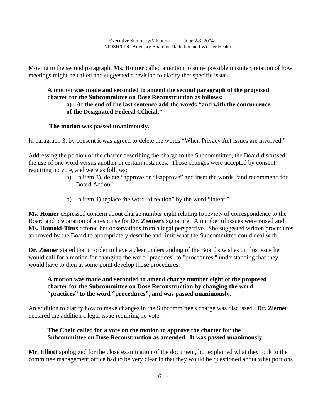Moving to the second paragraph, **Ms. Homer** called attention to some possible misinterpretation of how meetings might be called and suggested a revision to clarify that specific issue.

## **A motion was made and seconded to amend the second paragraph of the proposed charter for the Subcommittee on Dose Reconstruction as follows:**

### **a) At the end of the last sentence add the words "and with the concurrence of the Designated Federal Official."**

### **The motion was passed unanimously.**

l

In paragraph 3, by consent it was agreed to delete the words "When Privacy Act issues are involved,"

Addressing the portion of the charter describing the charge to the Subcommittee, the Board discussed the use of one word versus another in certain instances. Those changes were accepted by consent, requiring no vote, and were as follows:

- a) In item 3), delete "approve or disapprove" and inset the words "and recommend for Board Action"
- b) In item 4) replace the word "direction" by the word "intent."

**Ms. Homer** expressed concern about charge number eight relating to review of correspondence to the Board and preparation of a response for **Dr. Ziemer**'s signature. A number of issues were raised and **Ms. Homoki-Titus** offered her observations from a legal perspective. She suggested written procedures approved by the Board to appropriately describe and limit what the Subcommittee could deal with.

**Dr. Ziemer** stated that in order to have a clear understanding of the Board's wishes on this issue he would call for a motion for changing the word "practices" to "procedures," understanding that they would have to then at some point develop those procedures.

### **A motion was made and seconded to amend charge number eight of the proposed charter for the Subcommittee on Dose Reconstruction by changing the word "practices" to the word "procedures", and was passed unanimously.**

An addition to clarify how to make changes in the Subcommittee's charge was discussed. **Dr. Ziemer**  declared the addition a legal issue requiring no vote.

### **The Chair called for a vote on the motion to approve the charter for the Subcommittee on Dose Reconstruction as amended. It was passed unanimously.**

**Mr. Elliott** apologized for the close examination of the document, but explained what they took to the committee management office had to be very clear in that they would be questioned about what portions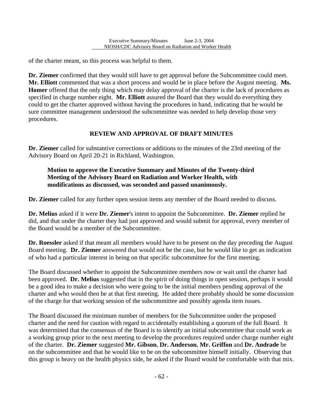of the charter meant, so this process was helpful to them.

l

**Dr. Ziemer** confirmed that they would still have to get approval before the Subcommittee could meet. **Mr. Elliott** commented that was a short process and would be in place before the August meeting. **Ms. Homer** offered that the only thing which may delay approval of the charter is the lack of procedures as specified in charge number eight. **Mr. Elliott** assured the Board that they would do everything they could to get the charter approved without having the procedures in hand, indicating that he would be sure committee management understood the subcommittee was needed to help develop those very procedures.

## **REVIEW AND APPROVAL OF DRAFT MINUTES**

**Dr. Ziemer** called for substantive corrections or additions to the minutes of the 23rd meeting of the Advisory Board on April 20-21 in Richland, Washington.

### **Motion to approve the Executive Summary and Minutes of the Twenty-third Meeting of the Advisory Board on Radiation and Worker Health, with modifications as discussed, was seconded and passed unanimously.**

**Dr. Ziemer** called for any further open session items any member of the Board needed to discuss.

**Dr. Melius** asked if it were **Dr. Ziemer**'s intent to appoint the Subcommittee. **Dr. Ziemer** replied he did, and that under the charter they had just approved and would submit for approval, every member of the Board would be a member of the Subcommittee.

**Dr. Roessler** asked if that meant all members would have to be present on the day preceding the August Board meeting. **Dr. Ziemer** answered that would not be the case, but he would like to get an indication of who had a particular interest in being on that specific subcommittee for the first meeting.

The Board discussed whether to appoint the Subcommittee members now or wait until the charter had been approved. **Dr. Melius** suggested that in the spirit of doing things in open session, perhaps it would be a good idea to make a decision who were going to be the initial members pending approval of the charter and who would then be at that first meeting. He added there probably should be some discussion of the charge for that working session of the subcommittee and possibly agenda item issues.

The Board discussed the minimum number of members for the Subcommittee under the proposed charter and the need for caution with regard to accidentally establishing a quorum of the full Board. It was determined that the consensus of the Board is to identify an initial subcommittee that could work as a working group prior to the next meeting to develop the procedures required under charge number eight of the charter. **Dr. Ziemer** suggested **Mr. Gibson**, **Dr. Anderson**, **Mr. Griffon** and **Dr. Andrade** be on the subcommittee and that he would like to be on the subcommittee himself initially. Observing that this group is heavy on the health physics side, he asked if the Board would be comfortable with that mix.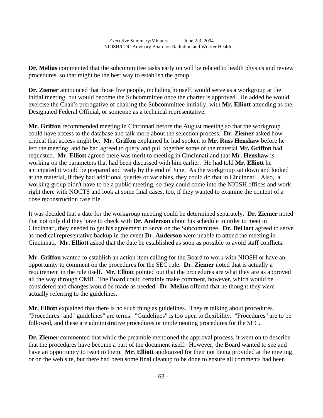l

**Dr. Melius** commented that the subcommittee tasks early on will be related to health physics and review procedures, so that might be the best way to establish the group.

**Dr. Ziemer** announced that those five people, including himself, would serve as a workgroup at the initial meeting, but would become the Subcommittee once the charter is approved. He added he would exercise the Chair's prerogative of chairing the Subcommittee initially, with **Mr. Elliott** attending as the Designated Federal Official, or someone as a technical representative.

**Mr. Griffon** recommended meeting in Cincinnati before the August meeting so that the workgroup could have access to the database and talk more about the selection process. **Dr. Ziemer** asked how critical that access might be. **Mr. Griffon** explained he had spoken to **Mr. Russ Henshaw** before he left the meeting, and he had agreed to query and pull together some of the material **Mr. Griffon** had requested. **Mr. Elliott** agreed there was merit to meeting in Cincinnati and that **Mr. Henshaw** is working on the parameters that had been discussed with him earlier. He had told **Mr. Elliott** he anticipated it would be prepared and ready by the end of June. As the workgroup sat down and looked at the material, if they had additional queries or variables, they could do that in Cincinnati. Also, a working group didn't have to be a public meeting, so they could come into the NIOSH offices and work right there with NOCTS and look at some final cases, too, if they wanted to examine the content of a dose reconstruction case file.

It was decided that a date for the workgroup meeting could be determined separately. **Dr. Ziemer** noted that not only did they have to check with **Dr. Anderson** about his schedule in order to meet in Cincinnati, they needed to get his agreement to serve on the Subcommittee. **Dr. DeHart** agreed to serve as medical representative backup in the event **Dr. Anderson** were unable to attend the meeting in Cincinnati. **Mr. Elliott** asked that the date be established as soon as possible to avoid staff conflicts.

**Mr. Griffon** wanted to establish an action item calling for the Board to work with NIOSH or have an opportunity to comment on the procedures for the SEC rule. **Dr. Ziemer** noted that is actually a requirement in the rule itself. **Mr. Elliott** pointed out that the procedures are what they are as approved all the way through OMB. The Board could certainly make comment, however, which would be considered and changes would be made as needed. **Dr. Melius** offered that he thought they were actually referring to the guidelines.

**Mr. Elliott** explained that there is no such thing as guidelines. They're talking about procedures. "Procedures" and "guidelines" are terms. "Guidelines" is too open to flexibility. "Procedures" are to be followed, and these are administrative procedures or implementing procedures for the SEC.

**Dr. Ziemer** commented that while the preamble mentioned the approval process, it went on to describe that the procedures have become a part of the document itself. However, the Board wanted to see and have an opportunity to react to them. **Mr. Elliott** apologized for their not being provided at the meeting or on the web site, but there had been some final cleanup to be done to ensure all comments had been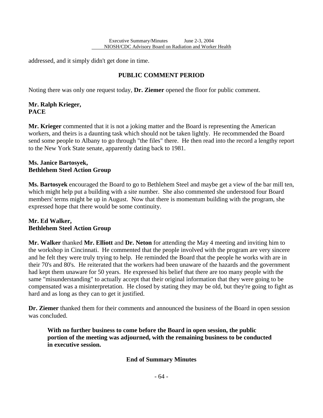addressed, and it simply didn't get done in time.

l

## **PUBLIC COMMENT PERIOD**

Noting there was only one request today, **Dr. Ziemer** opened the floor for public comment.

### **Mr. Ralph Krieger, PACE**

**Mr. Krieger** commented that it is not a joking matter and the Board is representing the American workers, and theirs is a daunting task which should not be taken lightly. He recommended the Board send some people to Albany to go through "the files" there. He then read into the record a lengthy report to the New York State senate, apparently dating back to 1981.

### **Ms. Janice Bartosyek, Bethlehem Steel Action Group**

**Ms. Bartosyek** encouraged the Board to go to Bethlehem Steel and maybe get a view of the bar mill ten, which might help put a building with a site number. She also commented she understood four Board members' terms might be up in August. Now that there is momentum building with the program, she expressed hope that there would be some continuity.

### **Mr. Ed Walker, Bethlehem Steel Action Group**

**Mr. Walker** thanked **Mr. Elliott** and **Dr. Neton** for attending the May 4 meeting and inviting him to the workshop in Cincinnati. He commented that the people involved with the program are very sincere and he felt they were truly trying to help. He reminded the Board that the people he works with are in their 70's and 80's. He reiterated that the workers had been unaware of the hazards and the government had kept them unaware for 50 years. He expressed his belief that there are too many people with the same "misunderstanding" to actually accept that their original information that they were going to be compensated was a misinterpretation. He closed by stating they may be old, but they're going to fight as hard and as long as they can to get it justified.

**Dr. Ziemer** thanked them for their comments and announced the business of the Board in open session was concluded.

**With no further business to come before the Board in open session, the public portion of the meeting was adjourned, with the remaining business to be conducted in executive session.** 

### **End of Summary Minutes**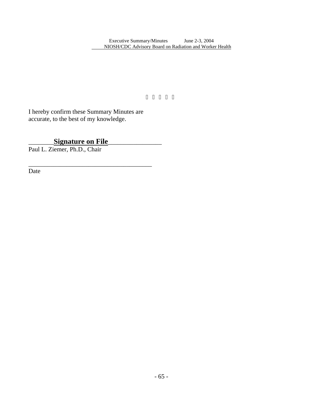I hereby confirm these Summary Minutes are accurate, to the best of my knowledge.

l

\_\_\_\_\_\_\_\_**Signature on File**\_\_\_\_\_\_\_\_\_\_\_\_\_\_\_\_\_

\_\_\_\_\_\_\_\_\_\_\_\_\_\_\_\_\_\_\_\_\_\_\_\_\_\_\_\_\_\_\_\_\_\_\_\_\_\_\_

Paul L. Ziemer, Ph.D., Chair

Date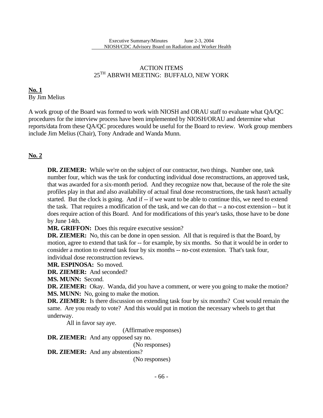### ACTION ITEMS  $25^{\text{TH}}$  ABRWH MEETING: BUFFALO, NEW YORK

### **No. 1**  By Jim Melius

A work group of the Board was formed to work with NIOSH and ORAU staff to evaluate what QA/QC procedures for the interview process have been implemented by NIOSH/ORAU and determine what reports/data from these QA/QC procedures would be useful for the Board to review. Work group members include Jim Melius (Chair), Tony Andrade and Wanda Munn.

## **No. 2**

**DR. ZIEMER:** While we're on the subject of our contractor, two things. Number one, task number four, which was the task for conducting individual dose reconstructions, an approved task, that was awarded for a six-month period. And they recognize now that, because of the role the site profiles play in that and also availability of actual final dose reconstructions, the task hasn't actually started. But the clock is going. And if  $-$  if we want to be able to continue this, we need to extend the task. That requires a modification of the task, and we can do that -- a no-cost extension -- but it does require action of this Board. And for modifications of this year's tasks, those have to be done by June 14th.

**MR. GRIFFON:** Does this require executive session?

**DR. ZIEMER:** No, this can be done in open session. All that is required is that the Board, by motion, agree to extend that task for -- for example, by six months. So that it would be in order to consider a motion to extend task four by six months -- no-cost extension. That's task four, individual dose reconstruction reviews.

**MR. ESPINOSA:** So moved.

 **DR. ZIEMER:** And seconded?

l

**MS. MUNN:** Second.

**DR. ZIEMER:** Okay. Wanda, did you have a comment, or were you going to make the motion? **MS. MUNN:** No, going to make the motion.

**DR. ZIEMER:** Is there discussion on extending task four by six months? Cost would remain the same. Are you ready to vote? And this would put in motion the necessary wheels to get that underway.

All in favor say aye.

(Affirmative responses)

 **DR. ZIEMER:** And any opposed say no.

(No responses)

 **DR. ZIEMER:** And any abstentions?

(No responses)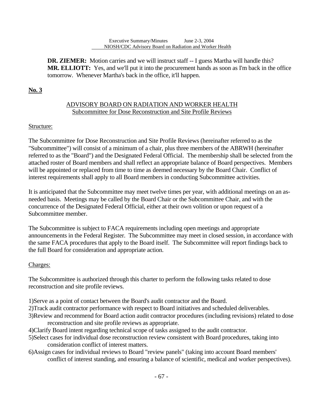**DR. ZIEMER:** Motion carries and we will instruct staff -- I guess Martha will handle this? **MR. ELLIOTT:** Yes, and we'll put it into the procurement hands as soon as I'm back in the office tomorrow. Whenever Martha's back in the office, it'll happen.

## **No. 3**

l

### ADVISORY BOARD ON RADIATION AND WORKER HEALTH Subcommittee for Dose Reconstruction and Site Profile Reviews

## Structure:

The Subcommittee for Dose Reconstruction and Site Profile Reviews (hereinafter referred to as the "Subcommittee") will consist of a minimum of a chair, plus three members of the ABRWH (hereinafter referred to as the "Board") and the Designated Federal Official. The membership shall be selected from the attached roster of Board members and shall reflect an appropriate balance of Board perspectives. Members will be appointed or replaced from time to time as deemed necessary by the Board Chair. Conflict of interest requirements shall apply to all Board members in conducting Subcommittee activities.

It is anticipated that the Subcommittee may meet twelve times per year, with additional meetings on an asneeded basis. Meetings may be called by the Board Chair or the Subcommittee Chair, and with the concurrence of the Designated Federal Official, either at their own volition or upon request of a Subcommittee member.

The Subcommittee is subject to FACA requirements including open meetings and appropriate announcements in the Federal Register. The Subcommittee may meet in closed session, in accordance with the same FACA procedures that apply to the Board itself. The Subcommittee will report findings back to the full Board for consideration and appropriate action.

## Charges:

The Subcommittee is authorized through this charter to perform the following tasks related to dose reconstruction and site profile reviews.

- 1)Serve as a point of contact between the Board's audit contractor and the Board.
- 2)Track audit contractor performance with respect to Board initiatives and scheduled deliverables.
- 3)Review and recommend for Board action audit contractor procedures (including revisions) related to dose reconstruction and site profile reviews as appropriate.
- 4)Clarify Board intent regarding technical scope of tasks assigned to the audit contractor.
- 5)Select cases for individual dose reconstruction review consistent with Board procedures, taking into consideration conflict of interest matters.
- 6)Assign cases for individual reviews to Board "review panels" (taking into account Board members' conflict of interest standing, and ensuring a balance of scientific, medical and worker perspectives).